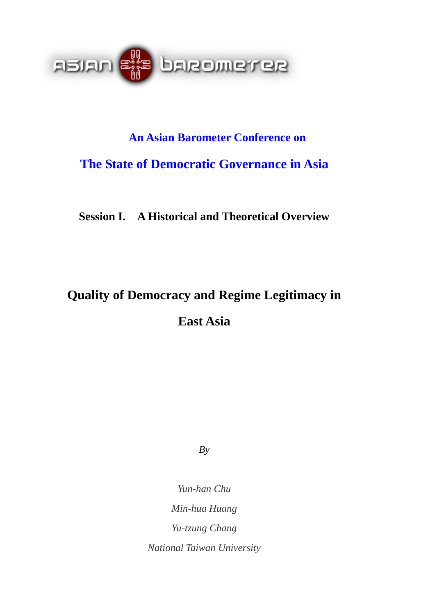

# **An Asian Barometer Conference on The State of Democratic Governance in Asia**

**Session I. A Historical and Theoretical Overview** 

# **Quality of Democracy and Regime Legitimacy in East Asia**

*By* 

*Yun-han Chu Min-hua Huang Yu-tzung Chang National Taiwan University*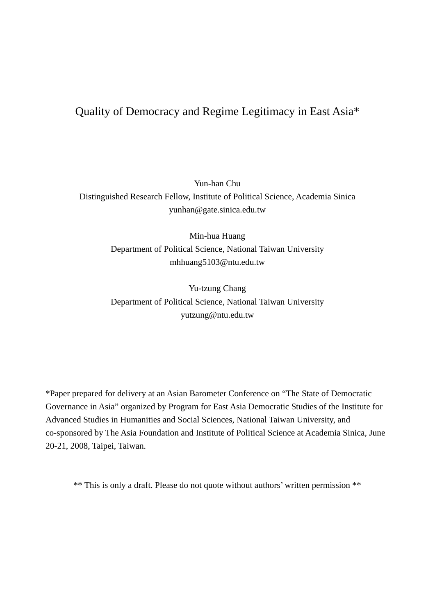# Quality of Democracy and Regime Legitimacy in East Asia\*

Yun-han Chu Distinguished Research Fellow, Institute of Political Science, Academia Sinica yunhan@gate.sinica.edu.tw

> Min-hua Huang Department of Political Science, National Taiwan University mhhuang5103@ntu.edu.tw

> Yu-tzung Chang Department of Political Science, National Taiwan University yutzung@ntu.edu.tw

\*Paper prepared for delivery at an Asian Barometer Conference on "The State of Democratic Governance in Asia" organized by Program for East Asia Democratic Studies of the Institute for Advanced Studies in Humanities and Social Sciences, National Taiwan University, and co-sponsored by The Asia Foundation and Institute of Political Science at Academia Sinica, June 20-21, 2008, Taipei, Taiwan.

\*\* This is only a draft. Please do not quote without authors' written permission \*\*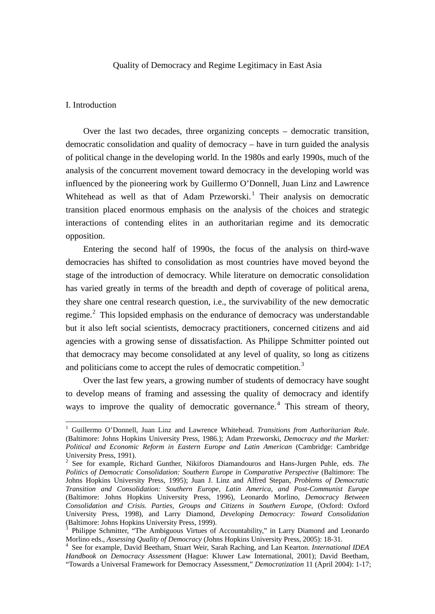### I. Introduction

1

Over the last two decades, three organizing concepts – democratic transition, democratic consolidation and quality of democracy – have in turn guided the analysis of political change in the developing world. In the 1980s and early 1990s, much of the analysis of the concurrent movement toward democracy in the developing world was influenced by the pioneering work by Guillermo O'Donnell, Juan Linz and Lawrence Whitehead as well as that of Adam Przeworski.<sup>[1](#page-2-0)</sup> Their analysis on democratic transition placed enormous emphasis on the analysis of the choices and strategic interactions of contending elites in an authoritarian regime and its democratic opposition.

Entering the second half of 1990s, the focus of the analysis on third-wave democracies has shifted to consolidation as most countries have moved beyond the stage of the introduction of democracy. While literature on democratic consolidation has varied greatly in terms of the breadth and depth of coverage of political arena, they share one central research question, i.e., the survivability of the new democratic regime.<sup>[2](#page-2-1)</sup> This lopsided emphasis on the endurance of democracy was understandable but it also left social scientists, democracy practitioners, concerned citizens and aid agencies with a growing sense of dissatisfaction. As Philippe Schmitter pointed out that democracy may become consolidated at any level of quality, so long as citizens and politicians come to accept the rules of democratic competition.<sup>[3](#page-2-2)</sup>

Over the last few years, a growing number of students of democracy have sought to develop means of framing and assessing the quality of democracy and identify ways to improve the quality of democratic governance.<sup>[4](#page-2-3)</sup> This stream of theory,

<span id="page-2-0"></span><sup>&</sup>lt;sup>1</sup> Guillermo O'Donnell, Juan Linz and Lawrence Whitehead. *Transitions from Authoritarian Rule*. (Baltimore: Johns Hopkins University Press, 1986.); Adam Przeworski, *Democracy and the Market: Political and Economic Reform in Eastern Europe and Latin American* (Cambridge: Cambridge University Press, 1991).

<span id="page-2-1"></span><sup>2</sup> See for example, Richard Gunther, Nikiforos Diamandouros and Hans-Jurgen Puhle, eds. *The Politics of Democratic Consolidation: Southern Europe in Comparative Perspective* (Baltimore: The Johns Hopkins University Press, 1995); Juan J. Linz and Alfred Stepan, *Problems of Democratic Transition and Consolidation: Southern Europe, Latin America, and Post-Communist Europe* (Baltimore: Johns Hopkins University Press, 1996), Leonardo Morlino, *Democracy Between Consolidation and Crisis. Parties, Groups and Citizens in Southern Europe*, (Oxford: Oxford University Press, 1998), and Larry Diamond, *Developing Democracy: Toward Consolidation* (Baltimore: Johns Hopkins University Press, 1999).

<span id="page-2-2"></span><sup>3</sup> Philippe Schmitter, "The Ambiguous Virtues of Accountability," in Larry Diamond and Leonardo Morlino eds., *Assessing Quality of Democracy* (Johns Hopkins University Press, 2005): 18-31. 4

<span id="page-2-3"></span>See for example, David Beetham, Stuart Weir, Sarah Raching, and Lan Kearton. *International IDEA Handbook on Democracy Assessment* (Hague: Kluwer Law International, 2001); David Beetham, "Towards a Universal Framework for Democracy Assessment," *Democratization* 11 (April 2004): 1-17;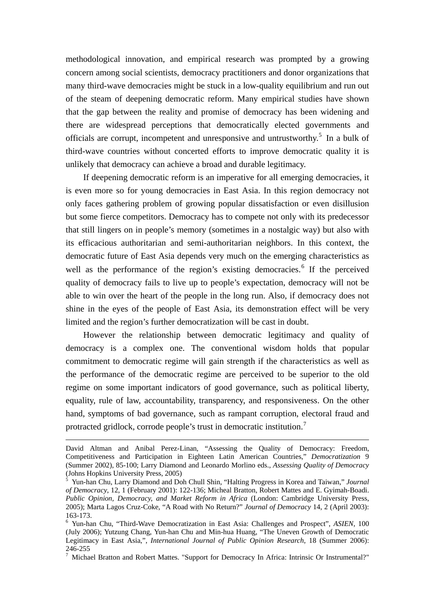methodological innovation, and empirical research was prompted by a growing concern among social scientists, democracy practitioners and donor organizations that many third-wave democracies might be stuck in a low-quality equilibrium and run out of the steam of deepening democratic reform. Many empirical studies have shown that the gap between the reality and promise of democracy has been widening and there are widespread perceptions that democratically elected governments and officials are corrupt, incompetent and unresponsive and untrustworthy.<sup>[5](#page-3-0)</sup> In a bulk of third-wave countries without concerted efforts to improve democratic quality it is unlikely that democracy can achieve a broad and durable legitimacy.

 If deepening democratic reform is an imperative for all emerging democracies, it is even more so for young democracies in East Asia. In this region democracy not only faces gathering problem of growing popular dissatisfaction or even disillusion but some fierce competitors. Democracy has to compete not only with its predecessor that still lingers on in people's memory (sometimes in a nostalgic way) but also with its efficacious authoritarian and semi-authoritarian neighbors. In this context, the democratic future of East Asia depends very much on the emerging characteristics as well as the performance of the region's existing democracies.<sup>[6](#page-3-1)</sup> If the perceived quality of democracy fails to live up to people's expectation, democracy will not be able to win over the heart of the people in the long run. Also, if democracy does not shine in the eyes of the people of East Asia, its demonstration effect will be very limited and the region's further democratization will be cast in doubt.

 However the relationship between democratic legitimacy and quality of democracy is a complex one. The conventional wisdom holds that popular commitment to democratic regime will gain strength if the characteristics as well as the performance of the democratic regime are perceived to be superior to the old regime on some important indicators of good governance, such as political liberty, equality, rule of law, accountability, transparency, and responsiveness. On the other hand, symptoms of bad governance, such as rampant corruption, electoral fraud and protracted gridlock, corrode people's trust in democratic institution.<sup>[7](#page-3-2)</sup>

David Altman and Anibal Perez-Linan, "Assessing the Quality of Democracy: Freedom, Competitiveness and Participation in Eighteen Latin American Countries," *Democratization* 9 (Summer 2002), 85-100; Larry Diamond and Leonardo Morlino eds., *Assessing Quality of Democracy* (Johns Hopkins University Press, 2005)

<sup>5</sup> Yun-han Chu, Larry Diamond and Doh Chull Shin, "Halting Progress in Korea and Taiwan," *Journal of Democracy*, 12, 1 (February 2001): 122-136; Micheal Bratton, Robert Mattes and E. Gyimah-Boadi. *Public Opinion, Democracy, and Market Reform in Africa* (London: Cambridge University Press, 2005); Marta Lagos Cruz-Coke, "A Road with No Return?" *Journal of Democracy* 14, 2 (April 2003): 163-173.

<sup>6</sup> Yun-han Chu, "Third-Wave Democratization in East Asia: Challenges and Prospect", *ASIEN*, 100 (July 2006); Yutzung Chang, Yun-han Chu and Min-hua Huang, "The Uneven Growth of Democratic Legitimacy in East Asia,", *International Journal of Public Opinion Research*, 18 (Summer 2006): 246-255

<span id="page-3-2"></span><span id="page-3-1"></span><span id="page-3-0"></span><sup>&</sup>lt;sup>7</sup> Michael Bratton and Robert Mattes. "Support for Democracy In Africa: Intrinsic Or Instrumental?"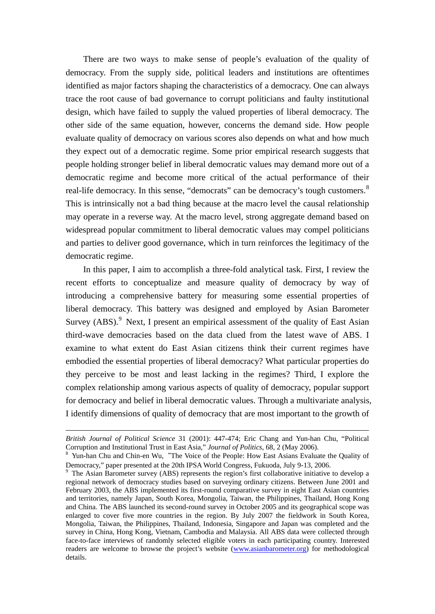There are two ways to make sense of people's evaluation of the quality of democracy. From the supply side, political leaders and institutions are oftentimes identified as major factors shaping the characteristics of a democracy. One can always trace the root cause of bad governance to corrupt politicians and faulty institutional design, which have failed to supply the valued properties of liberal democracy. The other side of the same equation, however, concerns the demand side. How people evaluate quality of democracy on various scores also depends on what and how much they expect out of a democratic regime. Some prior empirical research suggests that people holding stronger belief in liberal democratic values may demand more out of a democratic regime and become more critical of the actual performance of their real-life democracy. In this sense, "democrats" can be democracy's tough customers.<sup>[8](#page-4-0)</sup> This is intrinsically not a bad thing because at the macro level the causal relationship may operate in a reverse way. At the macro level, strong aggregate demand based on widespread popular commitment to liberal democratic values may compel politicians and parties to deliver good governance, which in turn reinforces the legitimacy of the democratic regime.

 In this paper, I aim to accomplish a three-fold analytical task. First, I review the recent efforts to conceptualize and measure quality of democracy by way of introducing a comprehensive battery for measuring some essential properties of liberal democracy. This battery was designed and employed by Asian Barometer Survey  $(ABS)$ . Next, I present an empirical assessment of the quality of East Asian third-wave democracies based on the data clued from the latest wave of ABS. I examine to what extent do East Asian citizens think their current regimes have embodied the essential properties of liberal democracy? What particular properties do they perceive to be most and least lacking in the regimes? Third, I explore the complex relationship among various aspects of quality of democracy, popular support for democracy and belief in liberal democratic values. Through a multivariate analysis, I identify dimensions of quality of democracy that are most important to the growth of

*British Journal of Political Science* 31 (2001): 447-474; Eric Chang and Yun-han Chu, "Political Corruption and Institutional Trust in East Asia," *Journal of Politics*, 68, 2 (May 2006).

<span id="page-4-0"></span><sup>&</sup>lt;sup>8</sup> Yun-han Chu and Chin-en Wu, "The Voice of the People: How East Asians Evaluate the Quality of Democracy," paper presented at the 20th IPSA World Congress, Fukuoda, July 9-13, 2006.

<span id="page-4-1"></span><sup>&</sup>lt;sup>9</sup> The Asian Barometer survey (ABS) represents the region's first collaborative initiative to develop a regional network of democracy studies based on surveying ordinary citizens. Between June 2001 and February 2003, the ABS implemented its first-round comparative survey in eight East Asian countries and territories, namely Japan, South Korea, Mongolia, Taiwan, the Philippines, Thailand, Hong Kong and China. The ABS launched its second-round survey in October 2005 and its geographical scope was enlarged to cover five more countries in the region. By July 2007 the fieldwork in South Korea, Mongolia, Taiwan, the Philippines, Thailand, Indonesia, Singapore and Japan was completed and the survey in China, Hong Kong, Vietnam, Cambodia and Malaysia. All ABS data were collected through face-to-face interviews of randomly selected eligible voters in each participating country. Interested readers are welcome to browse the project's website (www.asianbarometer.org) for methodological details.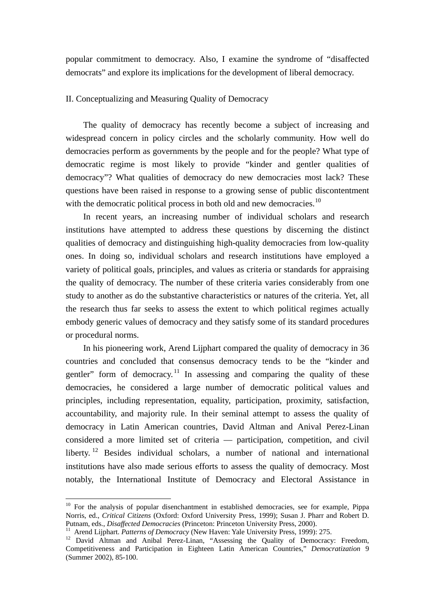popular commitment to democracy. Also, I examine the syndrome of "disaffected democrats" and explore its implications for the development of liberal democracy.

### II. Conceptualizing and Measuring Quality of Democracy

The quality of democracy has recently become a subject of increasing and widespread concern in policy circles and the scholarly community. How well do democracies perform as governments by the people and for the people? What type of democratic regime is most likely to provide "kinder and gentler qualities of democracy"? What qualities of democracy do new democracies most lack? These questions have been raised in response to a growing sense of public discontentment with the democratic political process in both old and new democracies.<sup>[1](#page-5-0)0</sup>

In recent years, an increasing number of individual scholars and research institutions have attempted to address these questions by discerning the distinct qualities of democracy and distinguishing high-quality democracies from low-quality ones. In doing so, individual scholars and research institutions have employed a variety of political goals, principles, and values as criteria or standards for appraising the quality of democracy. The number of these criteria varies considerably from one study to another as do the substantive characteristics or natures of the criteria. Yet, all the research thus far seeks to assess the extent to which political regimes actually embody generic values of democracy and they satisfy some of its standard procedures or procedural norms.

In his pioneering work, Arend Lijphart compared the quality of democracy in 36 countries and concluded that consensus democracy tends to be the "kinder and gentler" form of democracy.<sup>[1](#page-5-1)1</sup> In assessing and comparing the quality of these democracies, he considered a large number of democratic political values and principles, including representation, equality, participation, proximity, satisfaction, accountability, and majority rule. In their seminal attempt to assess the quality of democracy in Latin American countries, David Altman and Anival Perez-Linan considered a more limited set of criteria — participation, competition, and civil liberty. [1](#page-5-2)2 Besides individual scholars, a number of national and international institutions have also made serious efforts to assess the quality of democracy. Most notably, the International Institute of Democracy and Electoral Assistance in

<span id="page-5-0"></span> $10$  For the analysis of popular disenchantment in established democracies, see for example, Pippa Norris, ed., *Critical Citizens* (Oxford: Oxford University Press, 1999); Susan J. Pharr and Robert D.

<span id="page-5-2"></span><span id="page-5-1"></span><sup>&</sup>lt;sup>11</sup> Arend Lijphart. *Patterns of Democracy* (New Haven: Yale University Press, 1999): 275.<br><sup>12</sup> David Altman and Anibal Perez-Linan, "Assessing the Quality of Democracy: Freedom, Competitiveness and Participation in Eighteen Latin American Countries," *Democratization* 9 (Summer 2002), 85-100.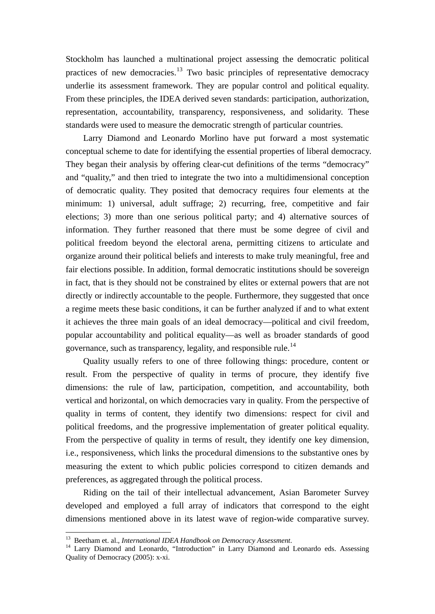Stockholm has launched a multinational project assessing the democratic political practices of new democracies.<sup>[13](#page-6-0)</sup> Two basic principles of representative democracy underlie its assessment framework. They are popular control and political equality. From these principles, the IDEA derived seven standards: participation, authorization, representation, accountability, transparency, responsiveness, and solidarity. These standards were used to measure the democratic strength of particular countries.

Larry Diamond and Leonardo Morlino have put forward a most systematic conceptual scheme to date for identifying the essential properties of liberal democracy. They began their analysis by offering clear-cut definitions of the terms "democracy" and "quality," and then tried to integrate the two into a multidimensional conception of democratic quality. They posited that democracy requires four elements at the minimum: 1) universal, adult suffrage; 2) recurring, free, competitive and fair elections; 3) more than one serious political party; and 4) alternative sources of information. They further reasoned that there must be some degree of civil and political freedom beyond the electoral arena, permitting citizens to articulate and organize around their political beliefs and interests to make truly meaningful, free and fair elections possible. In addition, formal democratic institutions should be sovereign in fact, that is they should not be constrained by elites or external powers that are not directly or indirectly accountable to the people. Furthermore, they suggested that once a regime meets these basic conditions, it can be further analyzed if and to what extent it achieves the three main goals of an ideal democracy—political and civil freedom, popular accountability and political equality—as well as broader standards of good governance, such as transparency, legality, and responsible rule.<sup>[1](#page-6-1)4</sup>

Quality usually refers to one of three following things: procedure, content or result. From the perspective of quality in terms of procure, they identify five dimensions: the rule of law, participation, competition, and accountability, both vertical and horizontal, on which democracies vary in quality. From the perspective of quality in terms of content, they identify two dimensions: respect for civil and political freedoms, and the progressive implementation of greater political equality. From the perspective of quality in terms of result, they identify one key dimension, i.e., responsiveness, which links the procedural dimensions to the substantive ones by measuring the extent to which public policies correspond to citizen demands and preferences, as aggregated through the political process.

Riding on the tail of their intellectual advancement, Asian Barometer Survey developed and employed a full array of indicators that correspond to the eight dimensions mentioned above in its latest wave of region-wide comparative survey.

<span id="page-6-1"></span><span id="page-6-0"></span><sup>&</sup>lt;sup>13</sup> Beetham et. al., *International IDEA Handbook on Democracy Assessment*.<br><sup>14</sup> Larry Diamond and Leonardo, "Introduction" in Larry Diamond and Leonardo eds. Assessing Quality of Democracy (2005): x-xi.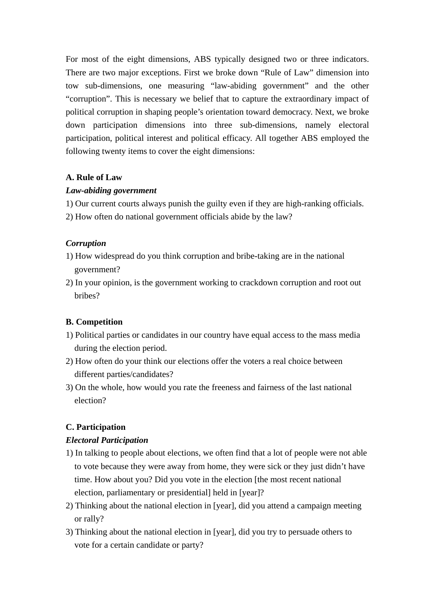For most of the eight dimensions, ABS typically designed two or three indicators. There are two major exceptions. First we broke down "Rule of Law" dimension into tow sub-dimensions, one measuring "law-abiding government" and the other "corruption". This is necessary we belief that to capture the extraordinary impact of political corruption in shaping people's orientation toward democracy. Next, we broke down participation dimensions into three sub-dimensions, namely electoral participation, political interest and political efficacy. All together ABS employed the following twenty items to cover the eight dimensions:

# **A. Rule of Law**

### *Law-abiding government*

- 1) Our current courts always punish the guilty even if they are high-ranking officials.
- 2) How often do national government officials abide by the law?

# *Corruption*

- 1) How widespread do you think corruption and bribe-taking are in the national government?
- 2) In your opinion, is the government working to crackdown corruption and root out bribes?

### **B. Competition**

- 1) Political parties or candidates in our country have equal access to the mass media during the election period.
- 2) How often do your think our elections offer the voters a real choice between different parties/candidates?
- 3) On the whole, how would you rate the freeness and fairness of the last national election?

# **C. Participation**

# *Electoral Participation*

- 1) In talking to people about elections, we often find that a lot of people were not able to vote because they were away from home, they were sick or they just didn't have time. How about you? Did you vote in the election [the most recent national election, parliamentary or presidential] held in [year]?
- 2) Thinking about the national election in [year], did you attend a campaign meeting or rally?
- 3) Thinking about the national election in [year], did you try to persuade others to vote for a certain candidate or party?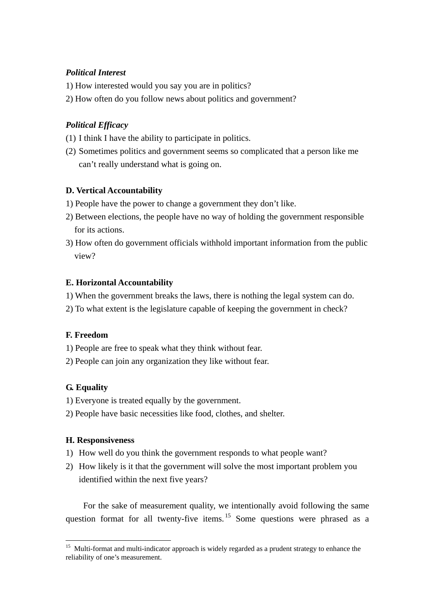### <span id="page-8-0"></span>*Political Interest*

- 1) How interested would you say you are in politics?
- 2) How often do you follow news about politics and government?

### *Political Efficacy*

- (1) I think I have the ability to participate in politics.
- (2) Sometimes politics and government seems so complicated that a person like me can't really understand what is going on.

### **D. Vertical Accountability**

- 1) People have the power to change a government they don't like.
- 2) Between elections, the people have no way of holding the government responsible for its actions.
- 3) How often do government officials withhold important information from the public view?

### **E. Horizontal Accountability**

- 1) When the government breaks the laws, there is nothing the legal system can do.
- 2) To what extent is the legislature capable of keeping the government in check?

### **F. Freedom**

- 1) People are free to speak what they think without fear.
- 2) People can join any organization they like without fear.

### **G. Equality**

<u>.</u>

- 1) Everyone is treated equally by the government.
- 2) People have basic necessities like food, clothes, and shelter.

### **H. Responsiveness**

- 1) How well do you think the government responds to what people want?
- 2) How likely is it that the government will solve the most important problem you identified within the next five years?

For the sake of measurement quality, we intentionally avoid following the same question format for all twenty-five items.<sup>[1](#page-8-0)5</sup> Some questions were phrased as a

<sup>&</sup>lt;sup>15</sup> Multi-format and multi-indicator approach is widely regarded as a prudent strategy to enhance the reliability of one's measurement.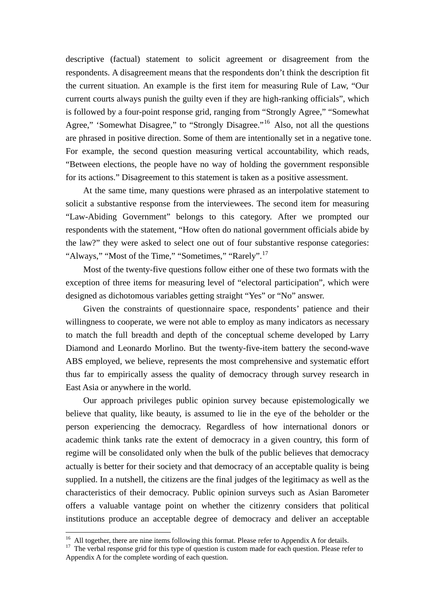<span id="page-9-0"></span>descriptive (factual) statement to solicit agreement or disagreement from the respondents. A disagreement means that the respondents don't think the description fit the current situation. An example is the first item for measuring Rule of Law, "Our current courts always punish the guilty even if they are high-ranking officials", which is followed by a four-point response grid, ranging from "Strongly Agree," "Somewhat Agree," 'Somewhat Disagree," to "Strongly Disagree."<sup>[16](#page-9-0)</sup> Also, not all the questions are phrased in positive direction. Some of them are intentionally set in a negative tone. For example, the second question measuring vertical accountability, which reads, "Between elections, the people have no way of holding the government responsible for its actions." Disagreement to this statement is taken as a positive assessment.

At the same time, many questions were phrased as an interpolative statement to solicit a substantive response from the interviewees. The second item for measuring "Law-Abiding Government" belongs to this category. After we prompted our respondents with the statement, "How often do national government officials abide by the law?" they were asked to select one out of four substantive response categories: "Always," "Most of the Time," "Sometimes," "Rarely".<sup>[1](#page-9-0)7</sup>

Most of the twenty-five questions follow either one of these two formats with the exception of three items for measuring level of "electoral participation", which were designed as dichotomous variables getting straight "Yes" or "No" answer.

Given the constraints of questionnaire space, respondents' patience and their willingness to cooperate, we were not able to employ as many indicators as necessary to match the full breadth and depth of the conceptual scheme developed by Larry Diamond and Leonardo Morlino. But the twenty-five-item battery the second-wave ABS employed, we believe, represents the most comprehensive and systematic effort thus far to empirically assess the quality of democracy through survey research in East Asia or anywhere in the world.

Our approach privileges public opinion survey because epistemologically we believe that quality, like beauty, is assumed to lie in the eye of the beholder or the person experiencing the democracy. Regardless of how international donors or academic think tanks rate the extent of democracy in a given country, this form of regime will be consolidated only when the bulk of the public believes that democracy actually is better for their society and that democracy of an acceptable quality is being supplied. In a nutshell, the citizens are the final judges of the legitimacy as well as the characteristics of their democracy. Public opinion surveys such as Asian Barometer offers a valuable vantage point on whether the citizenry considers that political institutions produce an acceptable degree of democracy and deliver an acceptable

<sup>&</sup>lt;sup>16</sup> All together, there are nine items following this format. Please refer to Appendix A for details. <sup>17</sup> The verbal response grid for this type of question is custom made for each question. Please refer to Appendix A for the complete wording of each question.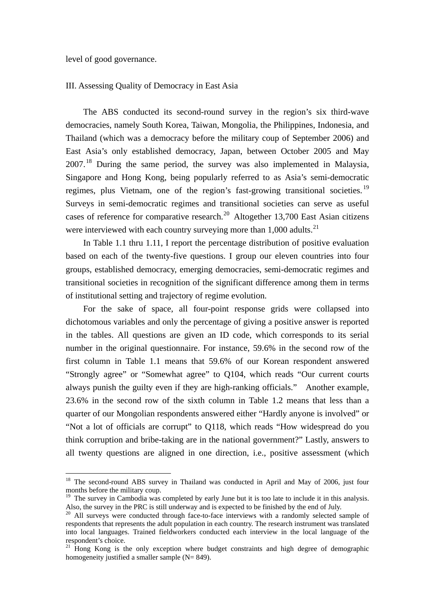<span id="page-10-0"></span>level of good governance.

1

### III. Assessing Quality of Democracy in East Asia

The ABS conducted its second-round survey in the region's six third-wave democracies, namely South Korea, Taiwan, Mongolia, the Philippines, Indonesia, and Thailand (which was a democracy before the military coup of September 2006) and East Asia's only established democracy, Japan, between October 2005 and May 2007.<sup>[18](#page-10-0)</sup> During the same period, the survey was also implemented in Malaysia, Singapore and Hong Kong, being popularly referred to as Asia's semi-democratic regimes, plus Vietnam, one of the region's fast-growing transitional societies.<sup>[1](#page-10-0)9</sup> Surveys in semi-democratic regimes and transitional societies can serve as useful cases of reference for comparative research.<sup>[2](#page-10-0)0</sup> Altogether 13,700 East Asian citizens were interviewed with each country surveying more than  $1,000$  adults.<sup>[21](#page-10-0)</sup>

In Table 1.1 thru 1.11, I report the percentage distribution of positive evaluation based on each of the twenty-five questions. I group our eleven countries into four groups, established democracy, emerging democracies, semi-democratic regimes and transitional societies in recognition of the significant difference among them in terms of institutional setting and trajectory of regime evolution.

For the sake of space, all four-point response grids were collapsed into dichotomous variables and only the percentage of giving a positive answer is reported in the tables. All questions are given an ID code, which corresponds to its serial number in the original questionnaire. For instance, 59.6% in the second row of the first column in Table 1.1 means that 59.6% of our Korean respondent answered "Strongly agree" or "Somewhat agree" to Q104, which reads "Our current courts always punish the guilty even if they are high-ranking officials." Another example, 23.6% in the second row of the sixth column in Table 1.2 means that less than a quarter of our Mongolian respondents answered either "Hardly anyone is involved" or "Not a lot of officials are corrupt" to Q118, which reads "How widespread do you think corruption and bribe-taking are in the national government?" Lastly, answers to all twenty questions are aligned in one direction, i.e., positive assessment (which

<sup>&</sup>lt;sup>18</sup> The second-round ABS survey in Thailand was conducted in April and May of 2006, just four months before the military coup.

<sup>&</sup>lt;sup>19</sup> The survey in Cambodia was completed by early June but it is too late to include it in this analysis. Also, the survey in the PRC is still underway and is expected to be finished by the end of July.

<sup>&</sup>lt;sup>20</sup> All surveys were conducted through face-to-face interviews with a randomly selected sample of respondents that represents the adult population in each country. The research instrument was translated into local languages. Trained fieldworkers conducted each interview in the local language of the respondent's choice.

<sup>&</sup>lt;sup>21</sup> Hong Kong is the only exception where budget constraints and high degree of demographic homogeneity justified a smaller sample  $(N= 849)$ .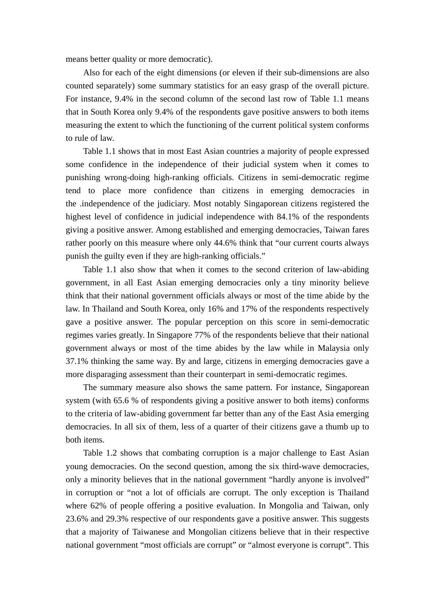means better quality or more democratic).

Also for each of the eight dimensions (or eleven if their sub-dimensions are also counted separately) some summary statistics for an easy grasp of the overall picture. For instance, 9.4% in the second column of the second last row of Table 1.1 means that in South Korea only 9.4% of the respondents gave positive answers to both items measuring the extent to which the functioning of the current political system conforms to rule of law.

Table 1.1 shows that in most East Asian countries a majority of people expressed some confidence in the independence of their judicial system when it comes to punishing wrong-doing high-ranking officials. Citizens in semi-democratic regime tend to place more confidence than citizens in emerging democracies in the .independence of the judiciary. Most notably Singaporean citizens registered the highest level of confidence in judicial independence with 84.1% of the respondents giving a positive answer. Among established and emerging democracies, Taiwan fares rather poorly on this measure where only 44.6% think that "our current courts always punish the guilty even if they are high-ranking officials."

Table 1.1 also show that when it comes to the second criterion of law-abiding government, in all East Asian emerging democracies only a tiny minority believe think that their national government officials always or most of the time abide by the law. In Thailand and South Korea, only 16% and 17% of the respondents respectively gave a positive answer. The popular perception on this score in semi-democratic regimes varies greatly. In Singapore 77% of the respondents believe that their national government always or most of the time abides by the law while in Malaysia only 37.1% thinking the same way. By and large, citizens in emerging democracies gave a more disparaging assessment than their counterpart in semi-democratic regimes.

The summary measure also shows the same pattern. For instance, Singaporean system (with 65.6 % of respondents giving a positive answer to both items) conforms to the criteria of law-abiding government far better than any of the East Asia emerging democracies. In all six of them, less of a quarter of their citizens gave a thumb up to both items.

Table 1.2 shows that combating corruption is a major challenge to East Asian young democracies. On the second question, among the six third-wave democracies, only a minority believes that in the national government "hardly anyone is involved" in corruption or "not a lot of officials are corrupt. The only exception is Thailand where 62% of people offering a positive evaluation. In Mongolia and Taiwan, only 23.6% and 29.3% respective of our respondents gave a positive answer. This suggests that a majority of Taiwanese and Mongolian citizens believe that in their respective national government "most officials are corrupt" or "almost everyone is corrupt". This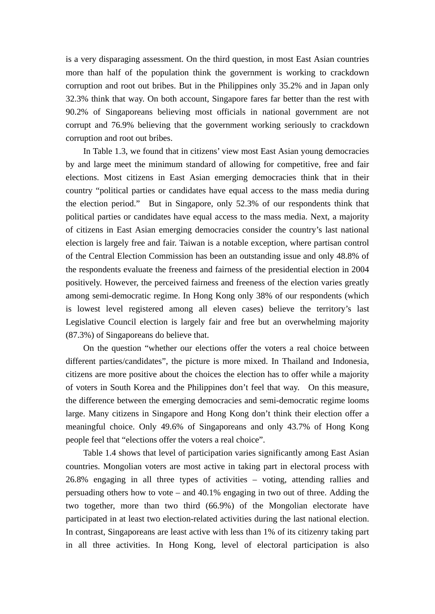is a very disparaging assessment. On the third question, in most East Asian countries more than half of the population think the government is working to crackdown corruption and root out bribes. But in the Philippines only 35.2% and in Japan only 32.3% think that way. On both account, Singapore fares far better than the rest with 90.2% of Singaporeans believing most officials in national government are not corrupt and 76.9% believing that the government working seriously to crackdown corruption and root out bribes.

In Table 1.3, we found that in citizens' view most East Asian young democracies by and large meet the minimum standard of allowing for competitive, free and fair elections. Most citizens in East Asian emerging democracies think that in their country "political parties or candidates have equal access to the mass media during the election period." But in Singapore, only 52.3% of our respondents think that political parties or candidates have equal access to the mass media. Next, a majority of citizens in East Asian emerging democracies consider the country's last national election is largely free and fair. Taiwan is a notable exception, where partisan control of the Central Election Commission has been an outstanding issue and only 48.8% of the respondents evaluate the freeness and fairness of the presidential election in 2004 positively. However, the perceived fairness and freeness of the election varies greatly among semi-democratic regime. In Hong Kong only 38% of our respondents (which is lowest level registered among all eleven cases) believe the territory's last Legislative Council election is largely fair and free but an overwhelming majority (87.3%) of Singaporeans do believe that.

On the question "whether our elections offer the voters a real choice between different parties/candidates", the picture is more mixed. In Thailand and Indonesia, citizens are more positive about the choices the election has to offer while a majority of voters in South Korea and the Philippines don't feel that way. On this measure, the difference between the emerging democracies and semi-democratic regime looms large. Many citizens in Singapore and Hong Kong don't think their election offer a meaningful choice. Only 49.6% of Singaporeans and only 43.7% of Hong Kong people feel that "elections offer the voters a real choice".

 Table 1.4 shows that level of participation varies significantly among East Asian countries. Mongolian voters are most active in taking part in electoral process with 26.8% engaging in all three types of activities – voting, attending rallies and persuading others how to vote – and 40.1% engaging in two out of three. Adding the two together, more than two third (66.9%) of the Mongolian electorate have participated in at least two election-related activities during the last national election. In contrast, Singaporeans are least active with less than 1% of its citizenry taking part in all three activities. In Hong Kong, level of electoral participation is also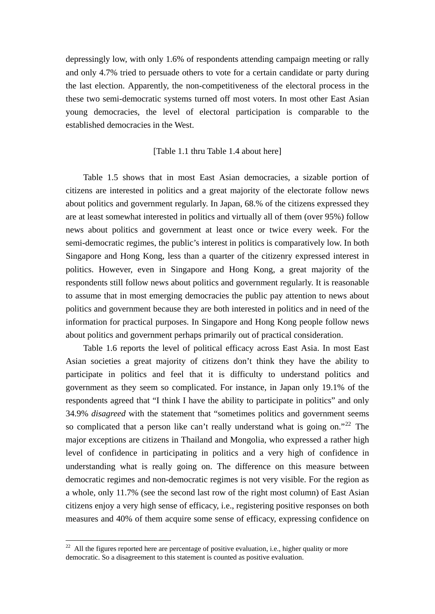<span id="page-13-0"></span>depressingly low, with only 1.6% of respondents attending campaign meeting or rally and only 4.7% tried to persuade others to vote for a certain candidate or party during the last election. Apparently, the non-competitiveness of the electoral process in the these two semi-democratic systems turned off most voters. In most other East Asian young democracies, the level of electoral participation is comparable to the established democracies in the West.

### [Table 1.1 thru Table 1.4 about here]

 Table 1.5 shows that in most East Asian democracies, a sizable portion of citizens are interested in politics and a great majority of the electorate follow news about politics and government regularly. In Japan, 68.% of the citizens expressed they are at least somewhat interested in politics and virtually all of them (over 95%) follow news about politics and government at least once or twice every week. For the semi-democratic regimes, the public's interest in politics is comparatively low. In both Singapore and Hong Kong, less than a quarter of the citizenry expressed interest in politics. However, even in Singapore and Hong Kong, a great majority of the respondents still follow news about politics and government regularly. It is reasonable to assume that in most emerging democracies the public pay attention to news about politics and government because they are both interested in politics and in need of the information for practical purposes. In Singapore and Hong Kong people follow news about politics and government perhaps primarily out of practical consideration.

 Table 1.6 reports the level of political efficacy across East Asia. In most East Asian societies a great majority of citizens don't think they have the ability to participate in politics and feel that it is difficulty to understand politics and government as they seem so complicated. For instance, in Japan only 19.1% of the respondents agreed that "I think I have the ability to participate in politics" and only 34.9% *disagreed* with the statement that "sometimes politics and government seems so complicated that a person like can't really understand what is going on."<sup>[22](#page-13-0)</sup> The major exceptions are citizens in Thailand and Mongolia, who expressed a rather high level of confidence in participating in politics and a very high of confidence in understanding what is really going on. The difference on this measure between democratic regimes and non-democratic regimes is not very visible. For the region as a whole, only 11.7% (see the second last row of the right most column) of East Asian citizens enjoy a very high sense of efficacy, i.e., registering positive responses on both measures and 40% of them acquire some sense of efficacy, expressing confidence on

<u>.</u>

<sup>&</sup>lt;sup>22</sup> All the figures reported here are percentage of positive evaluation, i.e., higher quality or more democratic. So a disagreement to this statement is counted as positive evaluation.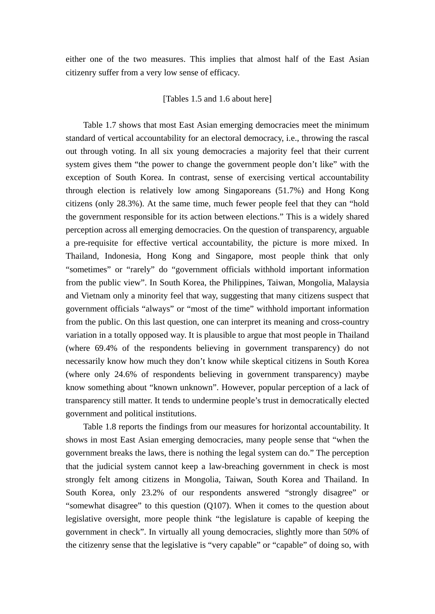either one of the two measures. This implies that almost half of the East Asian citizenry suffer from a very low sense of efficacy.

### [Tables 1.5 and 1.6 about here]

Table 1.7 shows that most East Asian emerging democracies meet the minimum standard of vertical accountability for an electoral democracy, i.e., throwing the rascal out through voting. In all six young democracies a majority feel that their current system gives them "the power to change the government people don't like" with the exception of South Korea. In contrast, sense of exercising vertical accountability through election is relatively low among Singaporeans (51.7%) and Hong Kong citizens (only 28.3%). At the same time, much fewer people feel that they can "hold the government responsible for its action between elections." This is a widely shared perception across all emerging democracies. On the question of transparency, arguable a pre-requisite for effective vertical accountability, the picture is more mixed. In Thailand, Indonesia, Hong Kong and Singapore, most people think that only "sometimes" or "rarely" do "government officials withhold important information from the public view". In South Korea, the Philippines, Taiwan, Mongolia, Malaysia and Vietnam only a minority feel that way, suggesting that many citizens suspect that government officials "always" or "most of the time" withhold important information from the public. On this last question, one can interpret its meaning and cross-country variation in a totally opposed way. It is plausible to argue that most people in Thailand (where 69.4% of the respondents believing in government transparency) do not necessarily know how much they don't know while skeptical citizens in South Korea (where only 24.6% of respondents believing in government transparency) maybe know something about "known unknown". However, popular perception of a lack of transparency still matter. It tends to undermine people's trust in democratically elected government and political institutions.

 Table 1.8 reports the findings from our measures for horizontal accountability. It shows in most East Asian emerging democracies, many people sense that "when the government breaks the laws, there is nothing the legal system can do." The perception that the judicial system cannot keep a law-breaching government in check is most strongly felt among citizens in Mongolia, Taiwan, South Korea and Thailand. In South Korea, only 23.2% of our respondents answered "strongly disagree" or "somewhat disagree" to this question (Q107). When it comes to the question about legislative oversight, more people think "the legislature is capable of keeping the government in check". In virtually all young democracies, slightly more than 50% of the citizenry sense that the legislative is "very capable" or "capable" of doing so, with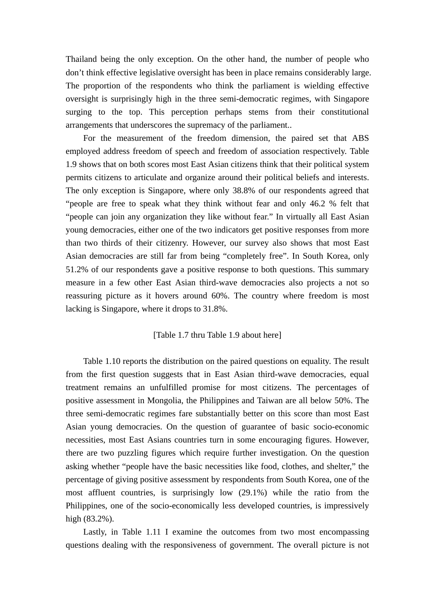Thailand being the only exception. On the other hand, the number of people who don't think effective legislative oversight has been in place remains considerably large. The proportion of the respondents who think the parliament is wielding effective oversight is surprisingly high in the three semi-democratic regimes, with Singapore surging to the top. This perception perhaps stems from their constitutional arrangements that underscores the supremacy of the parliament..

 For the measurement of the freedom dimension, the paired set that ABS employed address freedom of speech and freedom of association respectively. Table 1.9 shows that on both scores most East Asian citizens think that their political system permits citizens to articulate and organize around their political beliefs and interests. The only exception is Singapore, where only 38.8% of our respondents agreed that "people are free to speak what they think without fear and only 46.2 % felt that "people can join any organization they like without fear." In virtually all East Asian young democracies, either one of the two indicators get positive responses from more than two thirds of their citizenry. However, our survey also shows that most East Asian democracies are still far from being "completely free". In South Korea, only 51.2% of our respondents gave a positive response to both questions. This summary measure in a few other East Asian third-wave democracies also projects a not so reassuring picture as it hovers around 60%. The country where freedom is most lacking is Singapore, where it drops to 31.8%.

### [Table 1.7 thru Table 1.9 about here]

 Table 1.10 reports the distribution on the paired questions on equality. The result from the first question suggests that in East Asian third-wave democracies, equal treatment remains an unfulfilled promise for most citizens. The percentages of positive assessment in Mongolia, the Philippines and Taiwan are all below 50%. The three semi-democratic regimes fare substantially better on this score than most East Asian young democracies. On the question of guarantee of basic socio-economic necessities, most East Asians countries turn in some encouraging figures. However, there are two puzzling figures which require further investigation. On the question asking whether "people have the basic necessities like food, clothes, and shelter," the percentage of giving positive assessment by respondents from South Korea, one of the most affluent countries, is surprisingly low (29.1%) while the ratio from the Philippines, one of the socio-economically less developed countries, is impressively high (83.2%).

 Lastly, in Table 1.11 I examine the outcomes from two most encompassing questions dealing with the responsiveness of government. The overall picture is not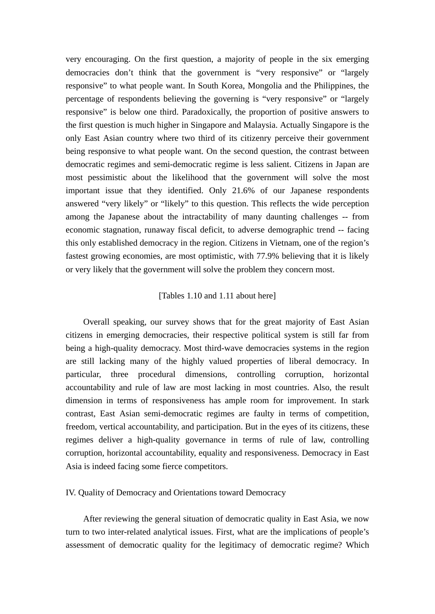very encouraging. On the first question, a majority of people in the six emerging democracies don't think that the government is "very responsive" or "largely responsive" to what people want. In South Korea, Mongolia and the Philippines, the percentage of respondents believing the governing is "very responsive" or "largely responsive" is below one third. Paradoxically, the proportion of positive answers to the first question is much higher in Singapore and Malaysia. Actually Singapore is the only East Asian country where two third of its citizenry perceive their government being responsive to what people want. On the second question, the contrast between democratic regimes and semi-democratic regime is less salient. Citizens in Japan are most pessimistic about the likelihood that the government will solve the most important issue that they identified. Only 21.6% of our Japanese respondents answered "very likely" or "likely" to this question. This reflects the wide perception among the Japanese about the intractability of many daunting challenges -- from economic stagnation, runaway fiscal deficit, to adverse demographic trend -- facing this only established democracy in the region. Citizens in Vietnam, one of the region's fastest growing economies, are most optimistic, with 77.9% believing that it is likely or very likely that the government will solve the problem they concern most.

### [Tables 1.10 and 1.11 about here]

 Overall speaking, our survey shows that for the great majority of East Asian citizens in emerging democracies, their respective political system is still far from being a high-quality democracy. Most third-wave democracies systems in the region are still lacking many of the highly valued properties of liberal democracy*.* In particular, three procedural dimensions, controlling corruption, horizontal accountability and rule of law are most lacking in most countries. Also, the result dimension in terms of responsiveness has ample room for improvement. In stark contrast, East Asian semi-democratic regimes are faulty in terms of competition, freedom, vertical accountability, and participation. But in the eyes of its citizens, these regimes deliver a high-quality governance in terms of rule of law, controlling corruption, horizontal accountability, equality and responsiveness. Democracy in East Asia is indeed facing some fierce competitors.

### IV. Quality of Democracy and Orientations toward Democracy

After reviewing the general situation of democratic quality in East Asia, we now turn to two inter-related analytical issues. First, what are the implications of people's assessment of democratic quality for the legitimacy of democratic regime? Which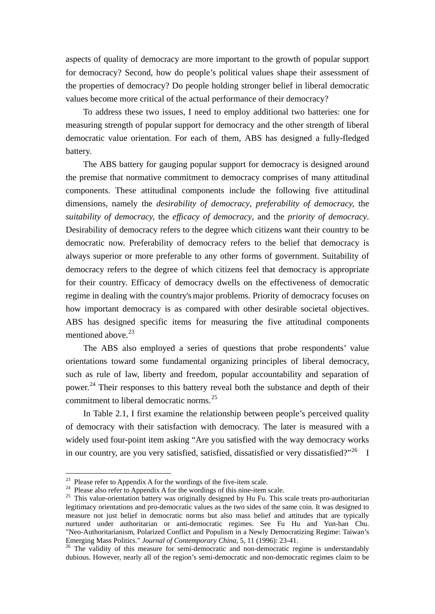<span id="page-17-0"></span>aspects of quality of democracy are more important to the growth of popular support for democracy? Second, how do people's political values shape their assessment of the properties of democracy? Do people holding stronger belief in liberal democratic values become more critical of the actual performance of their democracy?

To address these two issues, I need to employ additional two batteries: one for measuring strength of popular support for democracy and the other strength of liberal democratic value orientation. For each of them, ABS has designed a fully-fledged battery.

The ABS battery for gauging popular support for democracy is designed around the premise that normative commitment to democracy comprises of many attitudinal components. These attitudinal components include the following five attitudinal dimensions, namely the *desirability of democracy*, *preferability of democracy,* the *suitability of democracy,* the *efficacy of democracy*, and the *priority of democracy*. Desirability of democracy refers to the degree which citizens want their country to be democratic now. Preferability of democracy refers to the belief that democracy is always superior or more preferable to any other forms of government. Suitability of democracy refers to the degree of which citizens feel that democracy is appropriate for their country. Efficacy of democracy dwells on the effectiveness of democratic regime in dealing with the country's major problems. Priority of democracy focuses on how important democracy is as compared with other desirable societal objectives. ABS has designed specific items for measuring the five attitudinal components mentioned above. $23$ 

The ABS also employed a series of questions that probe respondents' value orientations toward some fundamental organizing principles of liberal democracy, such as rule of law, liberty and freedom, popular accountability and separation of power.<sup>[24](#page-17-0)</sup> Their responses to this battery reveal both the substance and depth of their commitment to liberal democratic norms.<sup>[2](#page-17-0)5</sup>

In Table 2.1, I first examine the relationship between people's perceived quality of democracy with their satisfaction with democracy. The later is measured with a widely used four-point item asking "Are you satisfied with the way democracy works in our country, are you very satisfied, satisfied, dissatisfied or very dissatisfied?" $^{26}$  $^{26}$  $^{26}$  I

<sup>&</sup>lt;sup>23</sup> Please refer to Appendix A for the wordings of the five-item scale.<br><sup>24</sup> Please also refer to Appendix A for the wordings of this nine-item scale.<br><sup>25</sup> This value-orientation battery was originally designed by Hu Fu. legitimacy orientations and pro-democratic values as the two sides of the same coin. It was designed to measure not just belief in democratic norms but also mass belief and attitudes that are typically nurtured under authoritarian or anti-democratic regimes. See Fu Hu and Yun-han Chu. "Neo-Authoritarianism, Polarized Conflict and Populism in a Newly Democratizing Regime: Taiwan's Emerging Mass Politics." Journal of Contemporary China, 5, 11 (1996): 23-41.

<sup>&</sup>lt;sup>26</sup> The validity of this measure for semi-democratic and non-democratic regime is understandably dubious. However, nearly all of the region's semi-democratic and non-democratic regimes claim to be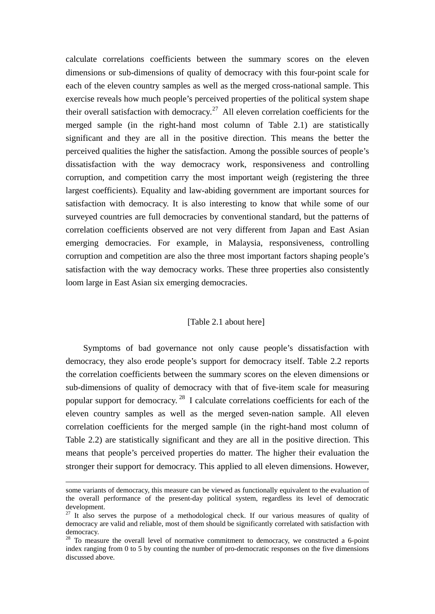<span id="page-18-0"></span>calculate correlations coefficients between the summary scores on the eleven dimensions or sub-dimensions of quality of democracy with this four-point scale for each of the eleven country samples as well as the merged cross-national sample. This exercise reveals how much people's perceived properties of the political system shape their overall satisfaction with democracy.<sup>[27](#page-18-0)</sup> All eleven correlation coefficients for the merged sample (in the right-hand most column of Table 2.1) are statistically significant and they are all in the positive direction. This means the better the perceived qualities the higher the satisfaction. Among the possible sources of people's dissatisfaction with the way democracy work, responsiveness and controlling corruption, and competition carry the most important weigh (registering the three largest coefficients). Equality and law-abiding government are important sources for satisfaction with democracy. It is also interesting to know that while some of our surveyed countries are full democracies by conventional standard, but the patterns of correlation coefficients observed are not very different from Japan and East Asian emerging democracies. For example, in Malaysia, responsiveness, controlling corruption and competition are also the three most important factors shaping people's satisfaction with the way democracy works. These three properties also consistently loom large in East Asian six emerging democracies.

### [Table 2.1 about here]

Symptoms of bad governance not only cause people's dissatisfaction with democracy, they also erode people's support for democracy itself. Table 2.2 reports the correlation coefficients between the summary scores on the eleven dimensions or sub-dimensions of quality of democracy with that of five-item scale for measuring popular support for democracy.  $^{28}$  $^{28}$  $^{28}$  I calculate correlations coefficients for each of the eleven country samples as well as the merged seven-nation sample. All eleven correlation coefficients for the merged sample (in the right-hand most column of Table 2.2) are statistically significant and they are all in the positive direction. This means that people's perceived properties do matter. The higher their evaluation the stronger their support for democracy. This applied to all eleven dimensions. However,

some variants of democracy, this measure can be viewed as functionally equivalent to the evaluation of the overall performance of the present-day political system, regardless its level of democratic development.

 $27$  It also serves the purpose of a methodological check. If our various measures of quality of democracy are valid and reliable, most of them should be significantly correlated with satisfaction with democracy.

<sup>&</sup>lt;sup>28</sup> To measure the overall level of normative commitment to democracy, we constructed a 6-point index ranging from 0 to 5 by counting the number of pro-democratic responses on the five dimensions discussed above.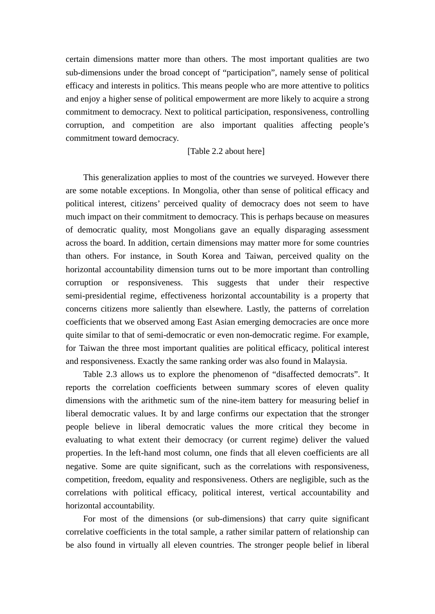certain dimensions matter more than others. The most important qualities are two sub-dimensions under the broad concept of "participation", namely sense of political efficacy and interests in politics. This means people who are more attentive to politics and enjoy a higher sense of political empowerment are more likely to acquire a strong commitment to democracy. Next to political participation, responsiveness, controlling corruption, and competition are also important qualities affecting people's commitment toward democracy.

#### [Table 2.2 about here]

This generalization applies to most of the countries we surveyed. However there are some notable exceptions. In Mongolia, other than sense of political efficacy and political interest, citizens' perceived quality of democracy does not seem to have much impact on their commitment to democracy. This is perhaps because on measures of democratic quality, most Mongolians gave an equally disparaging assessment across the board. In addition, certain dimensions may matter more for some countries than others. For instance, in South Korea and Taiwan, perceived quality on the horizontal accountability dimension turns out to be more important than controlling corruption or responsiveness. This suggests that under their respective semi-presidential regime, effectiveness horizontal accountability is a property that concerns citizens more saliently than elsewhere. Lastly, the patterns of correlation coefficients that we observed among East Asian emerging democracies are once more quite similar to that of semi-democratic or even non-democratic regime. For example, for Taiwan the three most important qualities are political efficacy, political interest and responsiveness. Exactly the same ranking order was also found in Malaysia.

Table 2.3 allows us to explore the phenomenon of "disaffected democrats". It reports the correlation coefficients between summary scores of eleven quality dimensions with the arithmetic sum of the nine-item battery for measuring belief in liberal democratic values. It by and large confirms our expectation that the stronger people believe in liberal democratic values the more critical they become in evaluating to what extent their democracy (or current regime) deliver the valued properties. In the left-hand most column, one finds that all eleven coefficients are all negative. Some are quite significant, such as the correlations with responsiveness, competition, freedom, equality and responsiveness. Others are negligible, such as the correlations with political efficacy, political interest, vertical accountability and horizontal accountability.

For most of the dimensions (or sub-dimensions) that carry quite significant correlative coefficients in the total sample, a rather similar pattern of relationship can be also found in virtually all eleven countries. The stronger people belief in liberal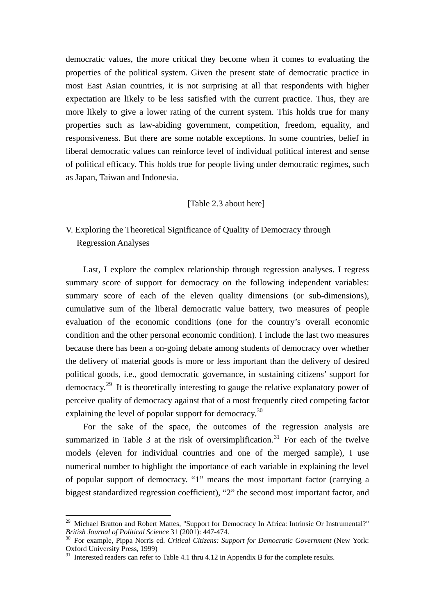<span id="page-20-0"></span>democratic values, the more critical they become when it comes to evaluating the properties of the political system. Given the present state of democratic practice in most East Asian countries, it is not surprising at all that respondents with higher expectation are likely to be less satisfied with the current practice. Thus, they are more likely to give a lower rating of the current system. This holds true for many properties such as law-abiding government, competition, freedom, equality, and responsiveness. But there are some notable exceptions. In some countries, belief in liberal democratic values can reinforce level of individual political interest and sense of political efficacy. This holds true for people living under democratic regimes, such as Japan, Taiwan and Indonesia.

### [Table 2.3 about here]

# V. Exploring the Theoretical Significance of Quality of Democracy through Regression Analyses

 Last, I explore the complex relationship through regression analyses. I regress summary score of support for democracy on the following independent variables: summary score of each of the eleven quality dimensions (or sub-dimensions), cumulative sum of the liberal democratic value battery, two measures of people evaluation of the economic conditions (one for the country's overall economic condition and the other personal economic condition). I include the last two measures because there has been a on-going debate among students of democracy over whether the delivery of material goods is more or less important than the delivery of desired political goods, i.e., good democratic governance, in sustaining citizens' support for democracy.<sup>[2](#page-20-0)9</sup> It is theoretically interesting to gauge the relative explanatory power of perceive quality of democracy against that of a most frequently cited competing factor explaining the level of popular support for democracy.<sup>[30](#page-20-0)</sup>

 For the sake of the space, the outcomes of the regression analysis are summarized in Table [3](#page-20-0) at the risk of oversimplification.<sup>31</sup> For each of the twelve models (eleven for individual countries and one of the merged sample), I use numerical number to highlight the importance of each variable in explaining the level of popular support of democracy. "1" means the most important factor (carrying a biggest standardized regression coefficient), "2" the second most important factor, and

<u>.</u>

<sup>&</sup>lt;sup>29</sup> Michael Bratton and Robert Mattes, "Support for Democracy In Africa: Intrinsic Or Instrumental?" *British Journal of Political Science* 31 (2001): 447-474.<br><sup>30</sup> For example, Pippa Norris ed. *Critical Citizens: Support for Democratic Government* (New York:

Oxford University Press, 1999)

 $31$  Interested readers can refer to Table 4.1 thru 4.12 in Appendix B for the complete results.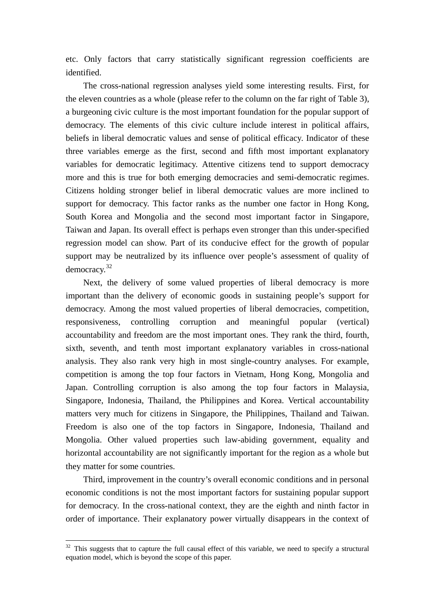<span id="page-21-0"></span>etc. Only factors that carry statistically significant regression coefficients are identified.

The cross-national regression analyses yield some interesting results. First, for the eleven countries as a whole (please refer to the column on the far right of Table 3), a burgeoning civic culture is the most important foundation for the popular support of democracy. The elements of this civic culture include interest in political affairs, beliefs in liberal democratic values and sense of political efficacy. Indicator of these three variables emerge as the first, second and fifth most important explanatory variables for democratic legitimacy. Attentive citizens tend to support democracy more and this is true for both emerging democracies and semi-democratic regimes. Citizens holding stronger belief in liberal democratic values are more inclined to support for democracy. This factor ranks as the number one factor in Hong Kong, South Korea and Mongolia and the second most important factor in Singapore, Taiwan and Japan. Its overall effect is perhaps even stronger than this under-specified regression model can show. Part of its conducive effect for the growth of popular support may be neutralized by its influence over people's assessment of quality of democracy.[3](#page-21-0)2

Next, the delivery of some valued properties of liberal democracy is more important than the delivery of economic goods in sustaining people's support for democracy. Among the most valued properties of liberal democracies, competition, responsiveness, controlling corruption and meaningful popular (vertical) accountability and freedom are the most important ones. They rank the third, fourth, sixth, seventh, and tenth most important explanatory variables in cross-national analysis. They also rank very high in most single-country analyses. For example, competition is among the top four factors in Vietnam, Hong Kong, Mongolia and Japan. Controlling corruption is also among the top four factors in Malaysia, Singapore, Indonesia, Thailand, the Philippines and Korea. Vertical accountability matters very much for citizens in Singapore, the Philippines, Thailand and Taiwan. Freedom is also one of the top factors in Singapore, Indonesia, Thailand and Mongolia. Other valued properties such law-abiding government, equality and horizontal accountability are not significantly important for the region as a whole but they matter for some countries.

Third, improvement in the country's overall economic conditions and in personal economic conditions is not the most important factors for sustaining popular support for democracy. In the cross-national context, they are the eighth and ninth factor in order of importance. Their explanatory power virtually disappears in the context of

<u>.</u>

 $32$  This suggests that to capture the full causal effect of this variable, we need to specify a structural equation model, which is beyond the scope of this paper.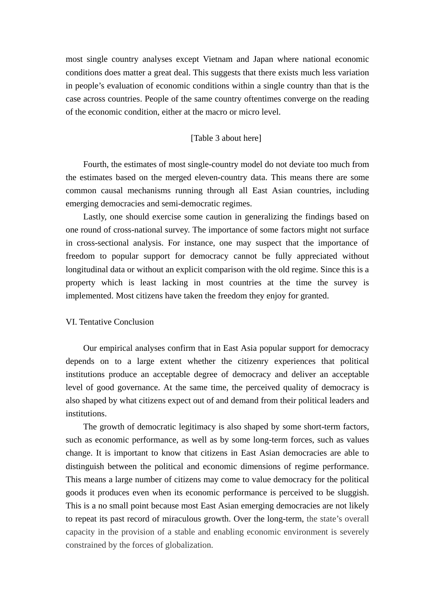most single country analyses except Vietnam and Japan where national economic conditions does matter a great deal. This suggests that there exists much less variation in people's evaluation of economic conditions within a single country than that is the case across countries. People of the same country oftentimes converge on the reading of the economic condition, either at the macro or micro level.

### [Table 3 about here]

 Fourth, the estimates of most single-country model do not deviate too much from the estimates based on the merged eleven-country data. This means there are some common causal mechanisms running through all East Asian countries, including emerging democracies and semi-democratic regimes.

 Lastly, one should exercise some caution in generalizing the findings based on one round of cross-national survey. The importance of some factors might not surface in cross-sectional analysis. For instance, one may suspect that the importance of freedom to popular support for democracy cannot be fully appreciated without longitudinal data or without an explicit comparison with the old regime. Since this is a property which is least lacking in most countries at the time the survey is implemented. Most citizens have taken the freedom they enjoy for granted.

#### VI. Tentative Conclusion

Our empirical analyses confirm that in East Asia popular support for democracy depends on to a large extent whether the citizenry experiences that political institutions produce an acceptable degree of democracy and deliver an acceptable level of good governance. At the same time, the perceived quality of democracy is also shaped by what citizens expect out of and demand from their political leaders and institutions.

The growth of democratic legitimacy is also shaped by some short-term factors, such as economic performance, as well as by some long-term forces, such as values change. It is important to know that citizens in East Asian democracies are able to distinguish between the political and economic dimensions of regime performance. This means a large number of citizens may come to value democracy for the political goods it produces even when its economic performance is perceived to be sluggish. This is a no small point because most East Asian emerging democracies are not likely to repeat its past record of miraculous growth. Over the long-term, the state's overall capacity in the provision of a stable and enabling economic environment is severely constrained by the forces of globalization.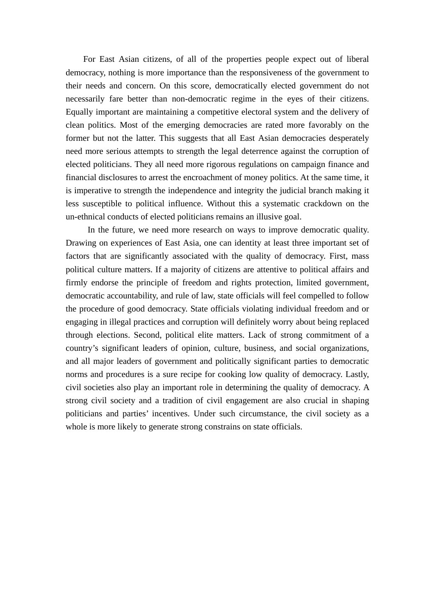For East Asian citizens, of all of the properties people expect out of liberal democracy, nothing is more importance than the responsiveness of the government to their needs and concern. On this score, democratically elected government do not necessarily fare better than non-democratic regime in the eyes of their citizens. Equally important are maintaining a competitive electoral system and the delivery of clean politics. Most of the emerging democracies are rated more favorably on the former but not the latter. This suggests that all East Asian democracies desperately need more serious attempts to strength the legal deterrence against the corruption of elected politicians. They all need more rigorous regulations on campaign finance and financial disclosures to arrest the encroachment of money politics. At the same time, it is imperative to strength the independence and integrity the judicial branch making it less susceptible to political influence. Without this a systematic crackdown on the un-ethnical conducts of elected politicians remains an illusive goal.

 In the future, we need more research on ways to improve democratic quality. Drawing on experiences of East Asia, one can identity at least three important set of factors that are significantly associated with the quality of democracy. First, mass political culture matters. If a majority of citizens are attentive to political affairs and firmly endorse the principle of freedom and rights protection, limited government, democratic accountability, and rule of law, state officials will feel compelled to follow the procedure of good democracy. State officials violating individual freedom and or engaging in illegal practices and corruption will definitely worry about being replaced through elections. Second, political elite matters. Lack of strong commitment of a country's significant leaders of opinion, culture, business, and social organizations, and all major leaders of government and politically significant parties to democratic norms and procedures is a sure recipe for cooking low quality of democracy. Lastly, civil societies also play an important role in determining the quality of democracy. A strong civil society and a tradition of civil engagement are also crucial in shaping politicians and parties' incentives. Under such circumstance, the civil society as a whole is more likely to generate strong constrains on state officials.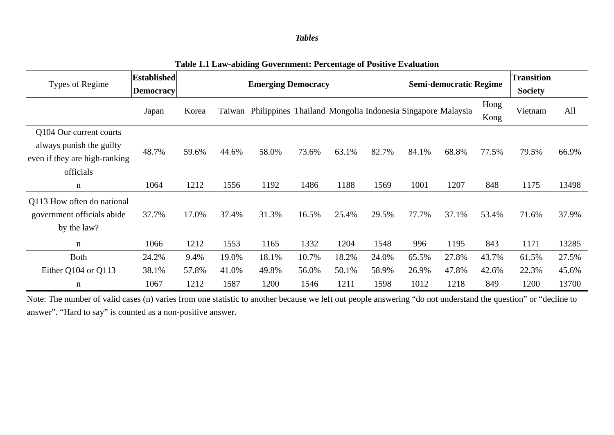#### *Tables*

| Types of Regime                                                                                   | <b>Established</b><br><b>Democracy</b> |       |       | <b>Emerging Democracy</b>                                         |       |       |       |       | <b>Semi-democratic Regime</b> |              | <b>Transition</b><br><b>Society</b> |       |
|---------------------------------------------------------------------------------------------------|----------------------------------------|-------|-------|-------------------------------------------------------------------|-------|-------|-------|-------|-------------------------------|--------------|-------------------------------------|-------|
|                                                                                                   | Japan                                  | Korea |       | Taiwan Philippines Thailand Mongolia Indonesia Singapore Malaysia |       |       |       |       |                               | Hong<br>Kong | Vietnam                             | All   |
| Q104 Our current courts<br>always punish the guilty<br>even if they are high-ranking<br>officials | 48.7%                                  | 59.6% | 44.6% | 58.0%                                                             | 73.6% | 63.1% | 82.7% | 84.1% | 68.8%                         | 77.5%        | 79.5%                               | 66.9% |
| n                                                                                                 | 1064                                   | 1212  | 1556  | 1192                                                              | 1486  | 1188  | 1569  | 1001  | 1207                          | 848          | 1175                                | 13498 |
| Q113 How often do national<br>government officials abide<br>by the law?                           | 37.7%                                  | 17.0% | 37.4% | 31.3%                                                             | 16.5% | 25.4% | 29.5% | 77.7% | 37.1%                         | 53.4%        | 71.6%                               | 37.9% |
| $\mathbf n$                                                                                       | 1066                                   | 1212  | 1553  | 1165                                                              | 1332  | 1204  | 1548  | 996   | 1195                          | 843          | 1171                                | 13285 |
| <b>Both</b>                                                                                       | 24.2%                                  | 9.4%  | 19.0% | 18.1%                                                             | 10.7% | 18.2% | 24.0% | 65.5% | 27.8%                         | 43.7%        | 61.5%                               | 27.5% |
| Either Q104 or Q113                                                                               | 38.1%                                  | 57.8% | 41.0% | 49.8%                                                             | 56.0% | 50.1% | 58.9% | 26.9% | 47.8%                         | 42.6%        | 22.3%                               | 45.6% |
| n                                                                                                 | 1067                                   | 1212  | 1587  | 1200                                                              | 1546  | 1211  | 1598  | 1012  | 1218                          | 849          | 1200                                | 13700 |

### **Table 1.1 Law-abiding Government: Percentage of Positive Evaluation**

Note: The number of valid cases (n) varies from one statistic to another because we left out people answering "do not understand the question" or "decline to answer". "Hard to say" is counted as a non-positive answer.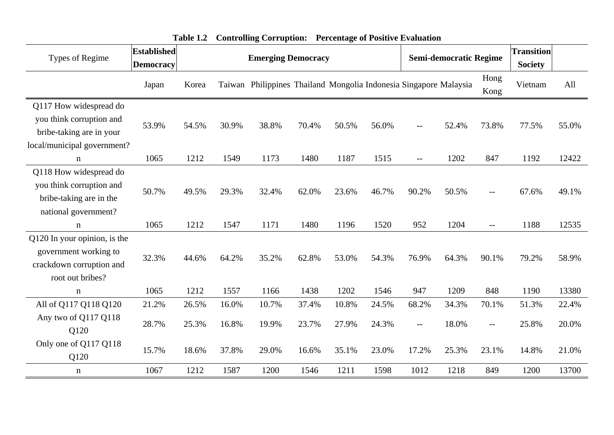| Types of Regime                                                                                               | <b>Established</b><br><b>Democracy</b> |       |       | <b>Emerging Democracy</b>                                         |       |       |       |                                               | <b>Semi-democratic Regime</b> |              | <b>Transition</b><br><b>Society</b> |       |
|---------------------------------------------------------------------------------------------------------------|----------------------------------------|-------|-------|-------------------------------------------------------------------|-------|-------|-------|-----------------------------------------------|-------------------------------|--------------|-------------------------------------|-------|
|                                                                                                               | Japan                                  | Korea |       | Taiwan Philippines Thailand Mongolia Indonesia Singapore Malaysia |       |       |       |                                               |                               | Hong<br>Kong | Vietnam                             | All   |
| Q117 How widespread do<br>you think corruption and<br>bribe-taking are in your<br>local/municipal government? | 53.9%                                  | 54.5% | 30.9% | 38.8%                                                             | 70.4% | 50.5% | 56.0% | $ -$                                          | 52.4%                         | 73.8%        | 77.5%                               | 55.0% |
| $\mathbf n$                                                                                                   | 1065                                   | 1212  | 1549  | 1173                                                              | 1480  | 1187  | 1515  | $ -$                                          | 1202                          | 847          | 1192                                | 12422 |
| Q118 How widespread do<br>you think corruption and<br>bribe-taking are in the<br>national government?         | 50.7%                                  | 49.5% | 29.3% | 32.4%                                                             | 62.0% | 23.6% | 46.7% | 90.2%                                         | 50.5%                         | $-$          | 67.6%                               | 49.1% |
| $\mathbf n$                                                                                                   | 1065                                   | 1212  | 1547  | 1171                                                              | 1480  | 1196  | 1520  | 952                                           | 1204                          | $- -$        | 1188                                | 12535 |
| Q120 In your opinion, is the<br>government working to<br>crackdown corruption and<br>root out bribes?         | 32.3%                                  | 44.6% | 64.2% | 35.2%                                                             | 62.8% | 53.0% | 54.3% | 76.9%                                         | 64.3%                         | 90.1%        | 79.2%                               | 58.9% |
| $\mathbf n$                                                                                                   | 1065                                   | 1212  | 1557  | 1166                                                              | 1438  | 1202  | 1546  | 947                                           | 1209                          | 848          | 1190                                | 13380 |
| All of Q117 Q118 Q120                                                                                         | 21.2%                                  | 26.5% | 16.0% | 10.7%                                                             | 37.4% | 10.8% | 24.5% | 68.2%                                         | 34.3%                         | 70.1%        | 51.3%                               | 22.4% |
| Any two of Q117 Q118<br>Q120                                                                                  | 28.7%                                  | 25.3% | 16.8% | 19.9%                                                             | 23.7% | 27.9% | 24.3% | $\mathord{\hspace{1pt}\text{--}\hspace{1pt}}$ | 18.0%                         | $-$          | 25.8%                               | 20.0% |
| Only one of Q117 Q118<br>Q120                                                                                 | 15.7%                                  | 18.6% | 37.8% | 29.0%                                                             | 16.6% | 35.1% | 23.0% | 17.2%                                         | 25.3%                         | 23.1%        | 14.8%                               | 21.0% |
| $\mathbf n$                                                                                                   | 1067                                   | 1212  | 1587  | 1200                                                              | 1546  | 1211  | 1598  | 1012                                          | 1218                          | 849          | 1200                                | 13700 |

# **Table 1.2 Controlling Corruption: Percentage of Positive Evaluation**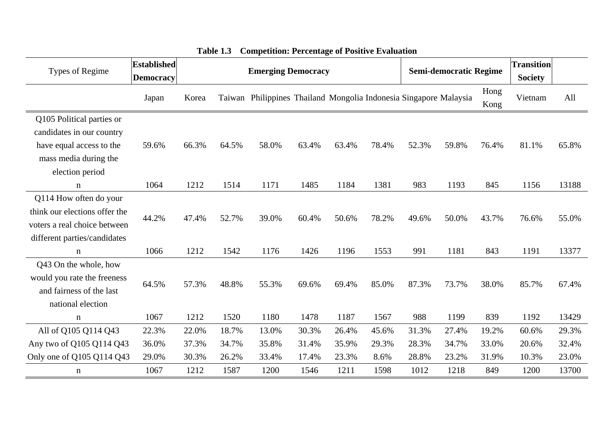| Types of Regime               | <b>Established</b><br><b>Democracy</b> |       |       | <b>Emerging Democracy</b>                                         |       |       |       |       | <b>Semi-democratic Regime</b> |              | <b>Transition</b><br><b>Society</b> |       |
|-------------------------------|----------------------------------------|-------|-------|-------------------------------------------------------------------|-------|-------|-------|-------|-------------------------------|--------------|-------------------------------------|-------|
|                               | Japan                                  | Korea |       | Taiwan Philippines Thailand Mongolia Indonesia Singapore Malaysia |       |       |       |       |                               | Hong<br>Kong | Vietnam                             | All   |
| Q105 Political parties or     |                                        |       |       |                                                                   |       |       |       |       |                               |              |                                     |       |
| candidates in our country     |                                        |       |       |                                                                   |       |       |       |       |                               |              |                                     |       |
| have equal access to the      | 59.6%                                  | 66.3% | 64.5% | 58.0%                                                             | 63.4% | 63.4% | 78.4% | 52.3% | 59.8%                         | 76.4%        | 81.1%                               | 65.8% |
| mass media during the         |                                        |       |       |                                                                   |       |       |       |       |                               |              |                                     |       |
| election period               |                                        |       |       |                                                                   |       |       |       |       |                               |              |                                     |       |
| $\mathbf n$                   | 1064                                   | 1212  | 1514  | 1171                                                              | 1485  | 1184  | 1381  | 983   | 1193                          | 845          | 1156                                | 13188 |
| Q114 How often do your        |                                        |       |       |                                                                   |       |       |       |       |                               |              |                                     |       |
| think our elections offer the | 44.2%                                  | 47.4% | 52.7% | 39.0%                                                             | 60.4% | 50.6% | 78.2% | 49.6% | 50.0%                         | 43.7%        | 76.6%                               | 55.0% |
| voters a real choice between  |                                        |       |       |                                                                   |       |       |       |       |                               |              |                                     |       |
| different parties/candidates  |                                        |       |       |                                                                   |       |       |       |       |                               |              |                                     |       |
| n                             | 1066                                   | 1212  | 1542  | 1176                                                              | 1426  | 1196  | 1553  | 991   | 1181                          | 843          | 1191                                | 13377 |
| Q43 On the whole, how         |                                        |       |       |                                                                   |       |       |       |       |                               |              |                                     |       |
| would you rate the freeness   |                                        | 57.3% | 48.8% | 55.3%                                                             | 69.6% | 69.4% | 85.0% | 87.3% | 73.7%                         | 38.0%        | 85.7%                               | 67.4% |
| and fairness of the last      | 64.5%                                  |       |       |                                                                   |       |       |       |       |                               |              |                                     |       |
| national election             |                                        |       |       |                                                                   |       |       |       |       |                               |              |                                     |       |
| n                             | 1067                                   | 1212  | 1520  | 1180                                                              | 1478  | 1187  | 1567  | 988   | 1199                          | 839          | 1192                                | 13429 |
| All of Q105 Q114 Q43          | 22.3%                                  | 22.0% | 18.7% | 13.0%                                                             | 30.3% | 26.4% | 45.6% | 31.3% | 27.4%                         | 19.2%        | 60.6%                               | 29.3% |
| Any two of Q105 Q114 Q43      | 36.0%                                  | 37.3% | 34.7% | 35.8%                                                             | 31.4% | 35.9% | 29.3% | 28.3% | 34.7%                         | 33.0%        | 20.6%                               | 32.4% |
| Only one of Q105 Q114 Q43     | 29.0%                                  | 30.3% | 26.2% | 33.4%                                                             | 17.4% | 23.3% | 8.6%  | 28.8% | 23.2%                         | 31.9%        | 10.3%                               | 23.0% |
| n                             | 1067                                   | 1212  | 1587  | 1200                                                              | 1546  | 1211  | 1598  | 1012  | 1218                          | 849          | 1200                                | 13700 |

**Table 1.3 Competition: Percentage of Positive Evaluation**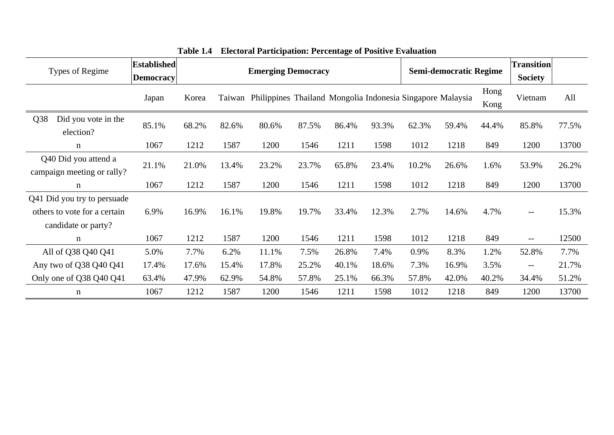| Types of Regime                                    | <b>Established</b><br><b>Democracy</b> |       |       | <b>Emerging Democracy</b>                                         |       |       |       |       | <b>Semi-democratic Regime</b> |              | <b>Transition</b><br><b>Society</b> |       |
|----------------------------------------------------|----------------------------------------|-------|-------|-------------------------------------------------------------------|-------|-------|-------|-------|-------------------------------|--------------|-------------------------------------|-------|
|                                                    | Japan                                  | Korea |       | Taiwan Philippines Thailand Mongolia Indonesia Singapore Malaysia |       |       |       |       |                               | Hong<br>Kong | Vietnam                             | All   |
| Q38<br>Did you vote in the<br>election?            | 85.1%                                  | 68.2% | 82.6% | 80.6%                                                             | 87.5% | 86.4% | 93.3% | 62.3% | 59.4%                         | 44.4%        | 85.8%                               | 77.5% |
| n                                                  | 1067                                   | 1212  | 1587  | 1200                                                              | 1546  | 1211  | 1598  | 1012  | 1218                          | 849          | 1200                                | 13700 |
| Q40 Did you attend a<br>campaign meeting or rally? | 21.1%                                  | 21.0% | 13.4% | 23.2%                                                             | 23.7% | 65.8% | 23.4% | 10.2% | 26.6%                         | 1.6%         | 53.9%                               | 26.2% |
| n                                                  | 1067                                   | 1212  | 1587  | 1200                                                              | 1546  | 1211  | 1598  | 1012  | 1218                          | 849          | 1200                                | 13700 |
| Q41 Did you try to persuade                        |                                        |       |       |                                                                   |       |       |       |       |                               |              |                                     |       |
| others to vote for a certain                       | 6.9%                                   | 16.9% | 16.1% | 19.8%                                                             | 19.7% | 33.4% | 12.3% | 2.7%  | 14.6%                         | 4.7%         | $\overline{\phantom{a}}$            | 15.3% |
| candidate or party?                                |                                        |       |       |                                                                   |       |       |       |       |                               |              |                                     |       |
| $\mathbf n$                                        | 1067                                   | 1212  | 1587  | 1200                                                              | 1546  | 1211  | 1598  | 1012  | 1218                          | 849          | $- -$                               | 12500 |
| All of Q38 Q40 Q41                                 | 5.0%                                   | 7.7%  | 6.2%  | 11.1%                                                             | 7.5%  | 26.8% | 7.4%  | 0.9%  | 8.3%                          | 1.2%         | 52.8%                               | 7.7%  |
| Any two of Q38 Q40 Q41                             | 17.4%                                  | 17.6% | 15.4% | 17.8%                                                             | 25.2% | 40.1% | 18.6% | 7.3%  | 16.9%                         | 3.5%         | $\overline{\phantom{m}}$            | 21.7% |
| Only one of Q38 Q40 Q41                            | 63.4%                                  | 47.9% | 62.9% | 54.8%                                                             | 57.8% | 25.1% | 66.3% | 57.8% | 42.0%                         | 40.2%        | 34.4%                               | 51.2% |
| n                                                  | 1067                                   | 1212  | 1587  | 1200                                                              | 1546  | 1211  | 1598  | 1012  | 1218                          | 849          | 1200                                | 13700 |

**Table 1.4 Electoral Participation: Percentage of Positive Evaluation**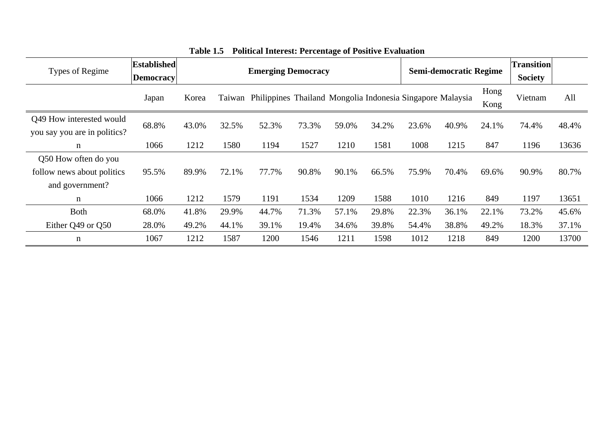| Types of Regime                                          | <b>Established</b><br><b>Democracy</b> |       |        | <b>Emerging Democracy</b>                                  |       |       |       |       | <b>Semi-democratic Regime</b> |              | <b>Transition</b><br><b>Society</b> |       |
|----------------------------------------------------------|----------------------------------------|-------|--------|------------------------------------------------------------|-------|-------|-------|-------|-------------------------------|--------------|-------------------------------------|-------|
|                                                          | Japan                                  | Korea | Taiwan | Philippines Thailand Mongolia Indonesia Singapore Malaysia |       |       |       |       |                               | Hong<br>Kong | Vietnam                             | All   |
| Q49 How interested would<br>you say you are in politics? | 68.8%                                  | 43.0% | 32.5%  | 52.3%                                                      | 73.3% | 59.0% | 34.2% | 23.6% | 40.9%                         | 24.1%        | 74.4%                               | 48.4% |
| n                                                        | 1066                                   | 1212  | 1580   | 1194                                                       | 1527  | 1210  | 1581  | 1008  | 1215                          | 847          | 1196                                | 13636 |
| Q50 How often do you                                     |                                        |       |        |                                                            |       |       |       |       |                               |              |                                     |       |
| follow news about politics                               | 95.5%                                  | 89.9% | 72.1%  | 77.7%                                                      | 90.8% | 90.1% | 66.5% | 75.9% | 70.4%                         | 69.6%        | 90.9%                               | 80.7% |
| and government?                                          |                                        |       |        |                                                            |       |       |       |       |                               |              |                                     |       |
| n                                                        | 1066                                   | 1212  | 1579   | 1191                                                       | 1534  | 1209  | 1588  | 1010  | 1216                          | 849          | 1197                                | 13651 |
| <b>Both</b>                                              | 68.0%                                  | 41.8% | 29.9%  | 44.7%                                                      | 71.3% | 57.1% | 29.8% | 22.3% | 36.1%                         | 22.1%        | 73.2%                               | 45.6% |
| Either Q49 or Q50                                        | 28.0%                                  | 49.2% | 44.1%  | 39.1%                                                      | 19.4% | 34.6% | 39.8% | 54.4% | 38.8%                         | 49.2%        | 18.3%                               | 37.1% |
| n                                                        | 1067                                   | 1212  | 1587   | 1200                                                       | 1546  | 1211  | 1598  | 1012  | 1218                          | 849          | 1200                                | 13700 |

**Table 1.5 Political Interest: Percentage of Positive Evaluation**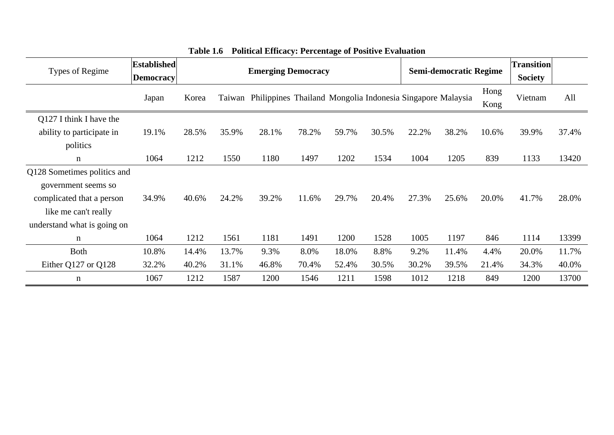| Types of Regime             | <b>Established</b><br><b>Democracy</b> |       |        | <b>Emerging Democracy</b>                                  |       |       |       |       | <b>Semi-democratic Regime</b> |              | <b>Transition</b><br><b>Society</b> |       |
|-----------------------------|----------------------------------------|-------|--------|------------------------------------------------------------|-------|-------|-------|-------|-------------------------------|--------------|-------------------------------------|-------|
|                             | Japan                                  | Korea | Taiwan | Philippines Thailand Mongolia Indonesia Singapore Malaysia |       |       |       |       |                               | Hong<br>Kong | Vietnam                             | All   |
| Q127 I think I have the     |                                        |       |        |                                                            |       |       |       |       |                               |              |                                     |       |
| ability to participate in   | 19.1%                                  | 28.5% | 35.9%  | 28.1%                                                      | 78.2% | 59.7% | 30.5% | 22.2% | 38.2%                         | 10.6%        | 39.9%                               | 37.4% |
| politics                    |                                        |       |        |                                                            |       |       |       |       |                               |              |                                     |       |
| n                           | 1064                                   | 1212  | 1550   | 1180                                                       | 1497  | 1202  | 1534  | 1004  | 1205                          | 839          | 1133                                | 13420 |
| Q128 Sometimes politics and |                                        |       |        |                                                            |       |       |       |       |                               |              |                                     |       |
| government seems so         |                                        |       |        |                                                            |       |       |       |       |                               |              |                                     |       |
| complicated that a person   | 34.9%                                  | 40.6% | 24.2%  | 39.2%                                                      | 11.6% | 29.7% | 20.4% | 27.3% | 25.6%                         | 20.0%        | 41.7%                               | 28.0% |
| like me can't really        |                                        |       |        |                                                            |       |       |       |       |                               |              |                                     |       |
| understand what is going on |                                        |       |        |                                                            |       |       |       |       |                               |              |                                     |       |
| n                           | 1064                                   | 1212  | 1561   | 1181                                                       | 1491  | 1200  | 1528  | 1005  | 1197                          | 846          | 1114                                | 13399 |
| <b>Both</b>                 | 10.8%                                  | 14.4% | 13.7%  | 9.3%                                                       | 8.0%  | 18.0% | 8.8%  | 9.2%  | 11.4%                         | 4.4%         | 20.0%                               | 11.7% |
| Either Q127 or Q128         | 32.2%                                  | 40.2% | 31.1%  | 46.8%                                                      | 70.4% | 52.4% | 30.5% | 30.2% | 39.5%                         | 21.4%        | 34.3%                               | 40.0% |
| n                           | 1067                                   | 1212  | 1587   | 1200                                                       | 1546  | 1211  | 1598  | 1012  | 1218                          | 849          | 1200                                | 13700 |

**Table 1.6 Political Efficacy: Percentage of Positive Evaluation**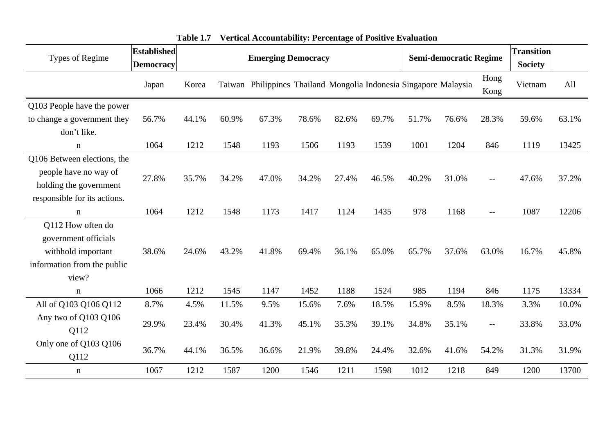| Types of Regime              | <b>Established</b><br><b>Democracy</b> |       |       | <b>Emerging Democracy</b>                                         |       |       |       |       | <b>Semi-democratic Regime</b> |              | <b>Transition</b><br><b>Society</b> |       |
|------------------------------|----------------------------------------|-------|-------|-------------------------------------------------------------------|-------|-------|-------|-------|-------------------------------|--------------|-------------------------------------|-------|
|                              | Japan                                  | Korea |       | Taiwan Philippines Thailand Mongolia Indonesia Singapore Malaysia |       |       |       |       |                               | Hong<br>Kong | Vietnam                             | All   |
| Q103 People have the power   |                                        |       |       |                                                                   |       |       |       |       |                               |              |                                     |       |
| to change a government they  | 56.7%                                  | 44.1% | 60.9% | 67.3%                                                             | 78.6% | 82.6% | 69.7% | 51.7% | 76.6%                         | 28.3%        | 59.6%                               | 63.1% |
| don't like.                  |                                        |       |       |                                                                   |       |       |       |       |                               |              |                                     |       |
| $\mathbf n$                  | 1064                                   | 1212  | 1548  | 1193                                                              | 1506  | 1193  | 1539  | 1001  | 1204                          | 846          | 1119                                | 13425 |
| Q106 Between elections, the  |                                        |       |       |                                                                   |       |       |       |       |                               |              |                                     |       |
| people have no way of        | 27.8%                                  | 35.7% | 34.2% | 47.0%                                                             | 34.2% | 27.4% | 46.5% | 40.2% | 31.0%                         |              | 47.6%                               | 37.2% |
| holding the government       |                                        |       |       |                                                                   |       |       |       |       |                               |              |                                     |       |
| responsible for its actions. |                                        |       |       |                                                                   |       |       |       |       |                               |              |                                     |       |
| $\mathbf n$                  | 1064                                   | 1212  | 1548  | 1173                                                              | 1417  | 1124  | 1435  | 978   | 1168                          | $- -$        | 1087                                | 12206 |
| Q112 How often do            |                                        |       |       |                                                                   |       |       |       |       |                               |              |                                     |       |
| government officials         |                                        |       |       |                                                                   |       |       |       |       |                               |              |                                     |       |
| withhold important           | 38.6%                                  | 24.6% | 43.2% | 41.8%                                                             | 69.4% | 36.1% | 65.0% | 65.7% | 37.6%                         | 63.0%        | 16.7%                               | 45.8% |
| information from the public  |                                        |       |       |                                                                   |       |       |       |       |                               |              |                                     |       |
| view?                        |                                        |       |       |                                                                   |       |       |       |       |                               |              |                                     |       |
| $\mathbf n$                  | 1066                                   | 1212  | 1545  | 1147                                                              | 1452  | 1188  | 1524  | 985   | 1194                          | 846          | 1175                                | 13334 |
| All of Q103 Q106 Q112        | 8.7%                                   | 4.5%  | 11.5% | 9.5%                                                              | 15.6% | 7.6%  | 18.5% | 15.9% | 8.5%                          | 18.3%        | 3.3%                                | 10.0% |
| Any two of Q103 Q106         | 29.9%                                  | 23.4% | 30.4% | 41.3%                                                             | 45.1% | 35.3% | 39.1% | 34.8% | 35.1%                         | $-$          | 33.8%                               | 33.0% |
| Q112                         |                                        |       |       |                                                                   |       |       |       |       |                               |              |                                     |       |
| Only one of Q103 Q106        | 36.7%                                  | 44.1% | 36.5% | 36.6%                                                             | 21.9% | 39.8% | 24.4% | 32.6% | 41.6%                         | 54.2%        | 31.3%                               | 31.9% |
| Q112                         |                                        |       |       |                                                                   |       |       |       |       |                               |              |                                     |       |
| $\mathbf n$                  | 1067                                   | 1212  | 1587  | 1200                                                              | 1546  | 1211  | 1598  | 1012  | 1218                          | 849          | 1200                                | 13700 |

**Table 1.7 Vertical Accountability: Percentage of Positive Evaluation**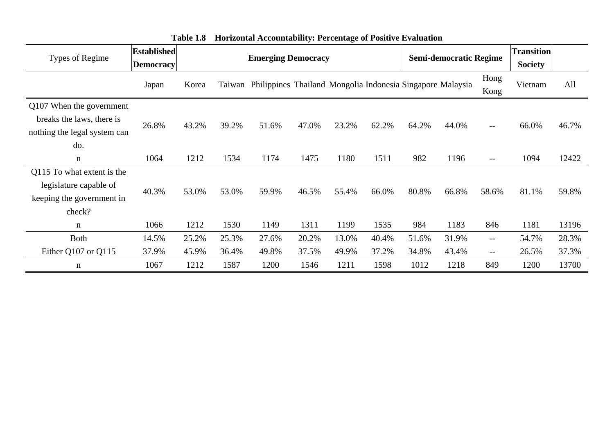| Types of Regime              | <b>Established</b><br><b>Democracy</b> |       |       | <b>Emerging Democracy</b>                                         |       |       |       |       | <b>Semi-democratic Regime</b> |                   | <b>Transition</b><br><b>Society</b> |       |
|------------------------------|----------------------------------------|-------|-------|-------------------------------------------------------------------|-------|-------|-------|-------|-------------------------------|-------------------|-------------------------------------|-------|
|                              | Japan                                  | Korea |       | Taiwan Philippines Thailand Mongolia Indonesia Singapore Malaysia |       |       |       |       |                               | Hong<br>Kong      | Vietnam                             | All   |
| Q107 When the government     |                                        |       |       |                                                                   |       |       |       |       |                               |                   |                                     |       |
| breaks the laws, there is    | 26.8%                                  | 43.2% | 39.2% | 51.6%                                                             | 47.0% | 23.2% | 62.2% | 64.2% | 44.0%                         | $\qquad \qquad -$ | 66.0%                               | 46.7% |
| nothing the legal system can |                                        |       |       |                                                                   |       |       |       |       |                               |                   |                                     |       |
| do.                          |                                        |       |       |                                                                   |       |       |       |       |                               |                   |                                     |       |
| $\mathbf n$                  | 1064                                   | 1212  | 1534  | 1174                                                              | 1475  | 1180  | 1511  | 982   | 1196                          | $--$              | 1094                                | 12422 |
| Q115 To what extent is the   |                                        |       |       |                                                                   |       |       |       |       |                               |                   |                                     |       |
| legislature capable of       | 40.3%                                  | 53.0% | 53.0% | 59.9%                                                             | 46.5% | 55.4% | 66.0% | 80.8% | 66.8%                         | 58.6%             | 81.1%                               | 59.8% |
| keeping the government in    |                                        |       |       |                                                                   |       |       |       |       |                               |                   |                                     |       |
| check?                       |                                        |       |       |                                                                   |       |       |       |       |                               |                   |                                     |       |
| n                            | 1066                                   | 1212  | 1530  | 1149                                                              | 1311  | 1199  | 1535  | 984   | 1183                          | 846               | 1181                                | 13196 |
| <b>Both</b>                  | 14.5%                                  | 25.2% | 25.3% | 27.6%                                                             | 20.2% | 13.0% | 40.4% | 51.6% | 31.9%                         | $\qquad \qquad -$ | 54.7%                               | 28.3% |
| Either Q107 or Q115          | 37.9%                                  | 45.9% | 36.4% | 49.8%                                                             | 37.5% | 49.9% | 37.2% | 34.8% | 43.4%                         | $- -$             | 26.5%                               | 37.3% |
| $\mathbf n$                  | 1067                                   | 1212  | 1587  | 1200                                                              | 1546  | 1211  | 1598  | 1012  | 1218                          | 849               | 1200                                | 13700 |

**Table 1.8 Horizontal Accountability: Percentage of Positive Evaluation**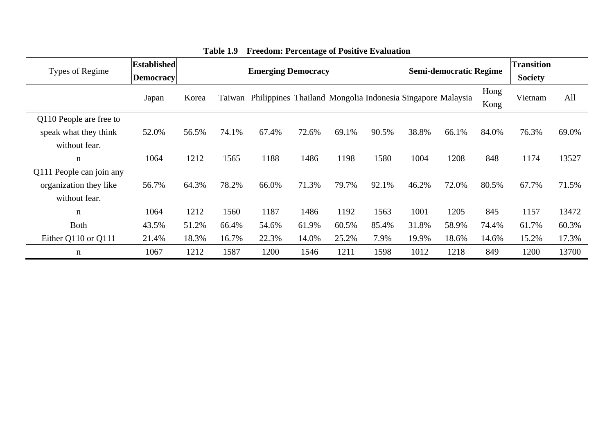| Types of Regime                                                     | <b>Established</b><br><b>Democracy</b> |       |       | <b>Emerging Democracy</b>                                         |       |       |       |       | <b>Semi-democratic Regime</b> |              | <b>Transition</b><br><b>Society</b> |       |
|---------------------------------------------------------------------|----------------------------------------|-------|-------|-------------------------------------------------------------------|-------|-------|-------|-------|-------------------------------|--------------|-------------------------------------|-------|
|                                                                     | Japan                                  | Korea |       | Taiwan Philippines Thailand Mongolia Indonesia Singapore Malaysia |       |       |       |       |                               | Hong<br>Kong | Vietnam                             | All   |
| Q110 People are free to<br>speak what they think<br>without fear.   | 52.0%                                  | 56.5% | 74.1% | 67.4%                                                             | 72.6% | 69.1% | 90.5% | 38.8% | 66.1%                         | 84.0%        | 76.3%                               | 69.0% |
| n                                                                   | 1064                                   | 1212  | 1565  | 1188                                                              | 1486  | 1198  | 1580  | 1004  | 1208                          | 848          | 1174                                | 13527 |
| Q111 People can join any<br>organization they like<br>without fear. | 56.7%                                  | 64.3% | 78.2% | 66.0%                                                             | 71.3% | 79.7% | 92.1% | 46.2% | 72.0%                         | 80.5%        | 67.7%                               | 71.5% |
| n                                                                   | 1064                                   | 1212  | 1560  | 1187                                                              | 1486  | 1192  | 1563  | 1001  | 1205                          | 845          | 1157                                | 13472 |
| <b>Both</b>                                                         | 43.5%                                  | 51.2% | 66.4% | 54.6%                                                             | 61.9% | 60.5% | 85.4% | 31.8% | 58.9%                         | 74.4%        | 61.7%                               | 60.3% |
| Either Q110 or Q111                                                 | 21.4%                                  | 18.3% | 16.7% | 22.3%                                                             | 14.0% | 25.2% | 7.9%  | 19.9% | 18.6%                         | 14.6%        | 15.2%                               | 17.3% |
| n                                                                   | 1067                                   | 1212  | 1587  | 1200                                                              | 1546  | 1211  | 1598  | 1012  | 1218                          | 849          | 1200                                | 13700 |

# **Table 1.9 Freedom: Percentage of Positive Evaluation**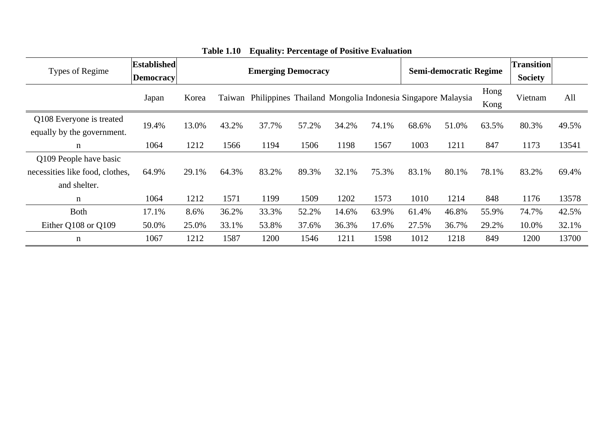| Types of Regime                                        | <b>Established</b><br><b>Democracy</b> |       |       | <b>Emerging Democracy</b>                                         |       |       |       |       | <b>Semi-democratic Regime</b> |              | <b>Transition</b><br><b>Society</b> |       |
|--------------------------------------------------------|----------------------------------------|-------|-------|-------------------------------------------------------------------|-------|-------|-------|-------|-------------------------------|--------------|-------------------------------------|-------|
|                                                        | Japan                                  | Korea |       | Taiwan Philippines Thailand Mongolia Indonesia Singapore Malaysia |       |       |       |       |                               | Hong<br>Kong | Vietnam                             | All   |
| Q108 Everyone is treated<br>equally by the government. | 19.4%                                  | 13.0% | 43.2% | 37.7%                                                             | 57.2% | 34.2% | 74.1% | 68.6% | 51.0%                         | 63.5%        | 80.3%                               | 49.5% |
| n                                                      | 1064                                   | 1212  | 1566  | 1194                                                              | 1506  | 1198  | 1567  | 1003  | 1211                          | 847          | 1173                                | 13541 |
| Q109 People have basic                                 |                                        |       |       |                                                                   |       |       |       |       |                               |              |                                     |       |
| necessities like food, clothes,                        | 64.9%                                  | 29.1% | 64.3% | 83.2%                                                             | 89.3% | 32.1% | 75.3% | 83.1% | 80.1%                         | 78.1%        | 83.2%                               | 69.4% |
| and shelter.                                           |                                        |       |       |                                                                   |       |       |       |       |                               |              |                                     |       |
| n                                                      | 1064                                   | 1212  | 1571  | 1199                                                              | 1509  | 1202  | 1573  | 1010  | 1214                          | 848          | 1176                                | 13578 |
| <b>Both</b>                                            | 17.1%                                  | 8.6%  | 36.2% | 33.3%                                                             | 52.2% | 14.6% | 63.9% | 61.4% | 46.8%                         | 55.9%        | 74.7%                               | 42.5% |
| Either Q108 or Q109                                    | 50.0%                                  | 25.0% | 33.1% | 53.8%                                                             | 37.6% | 36.3% | 17.6% | 27.5% | 36.7%                         | 29.2%        | 10.0%                               | 32.1% |
| n                                                      | 1067                                   | 1212  | 1587  | 1200                                                              | 1546  | 1211  | 1598  | 1012  | 1218                          | 849          | 1200                                | 13700 |

# **Table 1.10 Equality: Percentage of Positive Evaluation**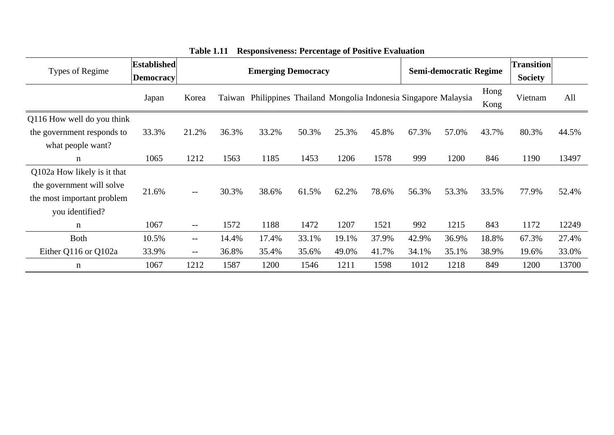| Types of Regime                                                                                           | <b>Established</b><br><b>Democracy</b> |                   |       | <b>Emerging Democracy</b>                                         |       |       |       |       | <b>Semi-democratic Regime</b> |              | <b>Transition</b><br><b>Society</b> |       |
|-----------------------------------------------------------------------------------------------------------|----------------------------------------|-------------------|-------|-------------------------------------------------------------------|-------|-------|-------|-------|-------------------------------|--------------|-------------------------------------|-------|
|                                                                                                           | Japan                                  | Korea             |       | Taiwan Philippines Thailand Mongolia Indonesia Singapore Malaysia |       |       |       |       |                               | Hong<br>Kong | Vietnam                             | All   |
| Q116 How well do you think<br>the government responds to<br>what people want?                             | 33.3%                                  | 21.2%             | 36.3% | 33.2%                                                             | 50.3% | 25.3% | 45.8% | 67.3% | 57.0%                         | 43.7%        | 80.3%                               | 44.5% |
| n                                                                                                         | 1065                                   | 1212              | 1563  | 1185                                                              | 1453  | 1206  | 1578  | 999   | 1200                          | 846          | 1190                                | 13497 |
| Q102a How likely is it that<br>the government will solve<br>the most important problem<br>you identified? | 21.6%                                  | $\qquad \qquad -$ | 30.3% | 38.6%                                                             | 61.5% | 62.2% | 78.6% | 56.3% | 53.3%                         | 33.5%        | 77.9%                               | 52.4% |
| n                                                                                                         | 1067                                   | $\qquad \qquad -$ | 1572  | 1188                                                              | 1472  | 1207  | 1521  | 992   | 1215                          | 843          | 1172                                | 12249 |
| <b>Both</b>                                                                                               | 10.5%                                  | $--$              | 14.4% | 17.4%                                                             | 33.1% | 19.1% | 37.9% | 42.9% | 36.9%                         | 18.8%        | 67.3%                               | 27.4% |
| Either Q116 or Q102a                                                                                      | 33.9%                                  | $\qquad \qquad -$ | 36.8% | 35.4%                                                             | 35.6% | 49.0% | 41.7% | 34.1% | 35.1%                         | 38.9%        | 19.6%                               | 33.0% |
| $\mathbf n$                                                                                               | 1067                                   | 1212              | 1587  | 1200                                                              | 1546  | 1211  | 1598  | 1012  | 1218                          | 849          | 1200                                | 13700 |

**Table 1.11 Responsiveness: Percentage of Positive Evaluation**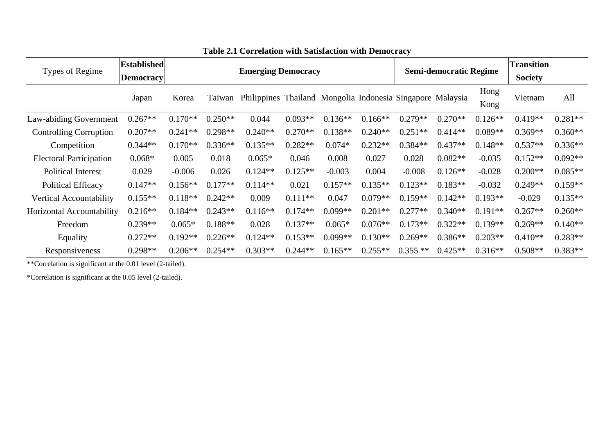| Types of Regime                | <b>Established</b><br><b>Democracy</b> |           |           | <b>Emerging Democracy</b>                                  |           |           |           |           | <b>Semi-democratic Regime</b> |              | <b>Transition</b><br><b>Society</b> |           |
|--------------------------------|----------------------------------------|-----------|-----------|------------------------------------------------------------|-----------|-----------|-----------|-----------|-------------------------------|--------------|-------------------------------------|-----------|
|                                | Japan                                  | Korea     | Taiwan    | Philippines Thailand Mongolia Indonesia Singapore Malaysia |           |           |           |           |                               | Hong<br>Kong | Vietnam                             | All       |
| Law-abiding Government         | $0.267**$                              | $0.170**$ | $0.250**$ | 0.044                                                      | $0.093**$ | $0.136**$ | $0.166**$ | $0.279**$ | $0.270**$                     | $0.126**$    | $0.419**$                           | $0.281**$ |
| <b>Controlling Corruption</b>  | $0.207**$                              | $0.241**$ | $0.298**$ | $0.240**$                                                  | $0.270**$ | $0.138**$ | $0.240**$ | $0.251**$ | $0.414**$                     | $0.089**$    | $0.369**$                           | $0.360**$ |
| Competition                    | $0.344**$                              | $0.170**$ | $0.336**$ | $0.135**$                                                  | $0.282**$ | $0.074*$  | $0.232**$ | $0.384**$ | $0.437**$                     | $0.148**$    | $0.537**$                           | $0.336**$ |
| <b>Electoral Participation</b> | $0.068*$                               | 0.005     | 0.018     | $0.065*$                                                   | 0.046     | 0.008     | 0.027     | 0.028     | $0.082**$                     | $-0.035$     | $0.152**$                           | $0.092**$ |
| <b>Political Interest</b>      | 0.029                                  | $-0.006$  | 0.026     | $0.124**$                                                  | $0.125**$ | $-0.003$  | 0.004     | $-0.008$  | $0.126**$                     | $-0.028$     | $0.200**$                           | $0.085**$ |
| <b>Political Efficacy</b>      | $0.147**$                              | $0.156**$ | $0.177**$ | $0.114**$                                                  | 0.021     | $0.157**$ | $0.135**$ | $0.123**$ | $0.183**$                     | $-0.032$     | $0.249**$                           | $0.159**$ |
| Vertical Accountability        | $0.155**$                              | $0.118**$ | $0.242**$ | 0.009                                                      | $0.111**$ | 0.047     | $0.079**$ | $0.159**$ | $0.142**$                     | $0.193**$    | $-0.029$                            | $0.135**$ |
| Horizontal Accountability      | $0.216**$                              | $0.184**$ | $0.243**$ | $0.116**$                                                  | $0.174**$ | $0.099**$ | $0.201**$ | $0.277**$ | $0.340**$                     | $0.191**$    | $0.267**$                           | $0.260**$ |
| Freedom                        | $0.239**$                              | $0.065*$  | $0.188**$ | 0.028                                                      | $0.137**$ | $0.065*$  | $0.076**$ | $0.173**$ | $0.322**$                     | $0.139**$    | $0.269**$                           | $0.140**$ |
| Equality                       | $0.272**$                              | $0.192**$ | $0.226**$ | $0.124**$                                                  | $0.153**$ | $0.099**$ | $0.130**$ | $0.269**$ | $0.386**$                     | $0.203**$    | $0.410**$                           | $0.283**$ |
| Responsiveness                 | $0.298**$                              | $0.206**$ | $0.254**$ | $0.303**$                                                  | $0.244**$ | $0.165**$ | $0.255**$ | $0.355**$ | $0.425**$                     | $0.316**$    | $0.508**$                           | $0.383**$ |

| Table 2.1 Correlation with Satisfaction with Democracy |  |
|--------------------------------------------------------|--|
|                                                        |  |

\*\*Correlation is significant at the 0.01 level (2-tailed).

\*Correlation is significant at the 0.05 level (2-tailed).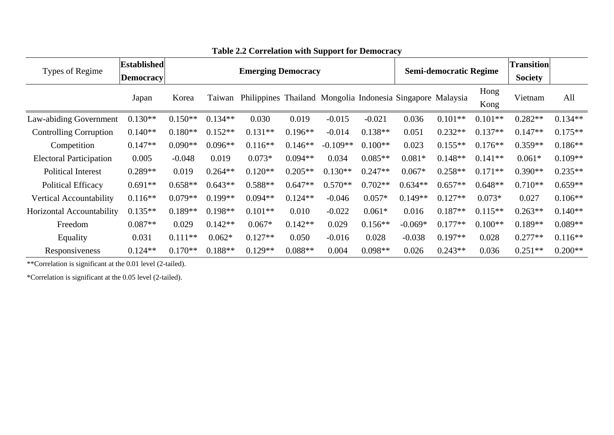| Types of Regime                | <b>Established</b><br><b>Democracy</b> |           | <b>Emerging Democracy</b> |                                                            |           |            |           |           | <b>Semi-democratic Regime</b> |              |                           |           |
|--------------------------------|----------------------------------------|-----------|---------------------------|------------------------------------------------------------|-----------|------------|-----------|-----------|-------------------------------|--------------|---------------------------|-----------|
|                                | Japan                                  | Korea     | Taiwan                    | Philippines Thailand Mongolia Indonesia Singapore Malaysia |           |            |           |           |                               | Hong<br>Kong | <b>Society</b><br>Vietnam | All       |
| Law-abiding Government         | $0.130**$                              | $0.150**$ | $0.134**$                 | 0.030                                                      | 0.019     | $-0.015$   | $-0.021$  | 0.036     | $0.101**$                     | $0.101**$    | $0.282**$                 | $0.134**$ |
| <b>Controlling Corruption</b>  | $0.140**$                              | $0.180**$ | $0.152**$                 | $0.131**$                                                  | $0.196**$ | $-0.014$   | $0.138**$ | 0.051     | $0.232**$                     | $0.137**$    | $0.147**$                 | $0.175**$ |
| Competition                    | $0.147**$                              | $0.090**$ | $0.096**$                 | $0.116**$                                                  | $0.146**$ | $-0.109**$ | $0.100**$ | 0.023     | $0.155**$                     | $0.176**$    | $0.359**$                 | $0.186**$ |
| <b>Electoral Participation</b> | 0.005                                  | $-0.048$  | 0.019                     | $0.073*$                                                   | $0.094**$ | 0.034      | $0.085**$ | $0.081*$  | $0.148**$                     | $0.141**$    | $0.061*$                  | $0.109**$ |
| <b>Political Interest</b>      | $0.289**$                              | 0.019     | $0.264**$                 | $0.120**$                                                  | $0.205**$ | $0.130**$  | $0.247**$ | $0.067*$  | $0.258**$                     | $0.171**$    | $0.390**$                 | $0.235**$ |
| <b>Political Efficacy</b>      | $0.691**$                              | $0.658**$ | $0.643**$                 | $0.588**$                                                  | $0.647**$ | $0.570**$  | $0.702**$ | $0.634**$ | $0.657**$                     | $0.648**$    | $0.710**$                 | $0.659**$ |
| Vertical Accountability        | $0.116**$                              | $0.079**$ | $0.199**$                 | $0.094**$                                                  | $0.124**$ | $-0.046$   | $0.057*$  | $0.149**$ | $0.127**$                     | $0.073*$     | 0.027                     | $0.106**$ |
| Horizontal Accountability      | $0.135**$                              | $0.189**$ | $0.198**$                 | $0.101**$                                                  | 0.010     | $-0.022$   | $0.061*$  | 0.016     | $0.187**$                     | $0.115**$    | $0.263**$                 | $0.140**$ |
| Freedom                        | $0.087**$                              | 0.029     | $0.142**$                 | $0.067*$                                                   | $0.142**$ | 0.029      | $0.156**$ | $-0.069*$ | $0.177**$                     | $0.100**$    | $0.189**$                 | $0.089**$ |
| Equality                       | 0.031                                  | $0.111**$ | $0.062*$                  | $0.127**$                                                  | 0.050     | $-0.016$   | 0.028     | $-0.038$  | $0.197**$                     | 0.028        | $0.277**$                 | $0.116**$ |
| Responsiveness                 | $0.124**$                              | $0.170**$ | $0.188**$                 | $0.129**$                                                  | $0.088**$ | 0.004      | $0.098**$ | 0.026     | $0.243**$                     | 0.036        | $0.251**$                 | $0.200**$ |

**Table 2.2 Correlation with Support for Democracy** 

\*\*Correlation is significant at the 0.01 level (2-tailed).

\*Correlation is significant at the 0.05 level (2-tailed).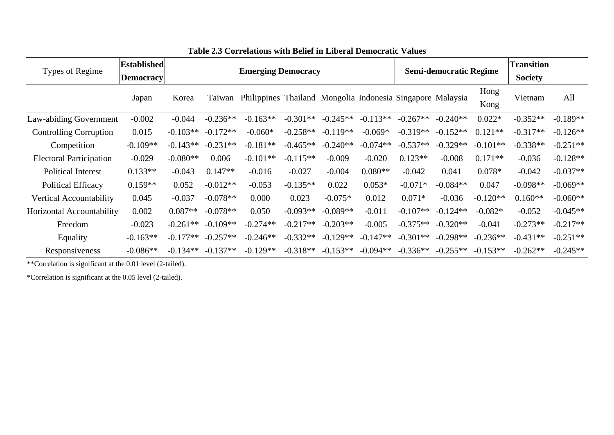| Types of Regime                | <b>Established</b> |            |            |                                                            |            |            |            |            | <b>Semi-democratic Regime</b> |              |                |            |
|--------------------------------|--------------------|------------|------------|------------------------------------------------------------|------------|------------|------------|------------|-------------------------------|--------------|----------------|------------|
|                                | <b>Democracy</b>   |            |            | <b>Emerging Democracy</b>                                  |            |            |            |            |                               |              | <b>Society</b> |            |
|                                | Japan              | Korea      | Taiwan     | Philippines Thailand Mongolia Indonesia Singapore Malaysia |            |            |            |            |                               | Hong<br>Kong | Vietnam        | All        |
| Law-abiding Government         | $-0.002$           | $-0.044$   | $-0.236**$ | $-0.163**$                                                 | $-0.301**$ | $-0.245**$ | $-0.113**$ | $-0.267**$ | $-0.240**$                    | $0.022*$     | $-0.352**$     | $-0.189**$ |
| <b>Controlling Corruption</b>  | 0.015              | $-0.103**$ | $-0.172**$ | $-0.060*$                                                  | $-0.258**$ | $-0.119**$ | $-0.069*$  | $-0.319**$ | $-0.152**$                    | $0.121**$    | $-0.317**$     | $-0.126**$ |
| Competition                    | $-0.109**$         | $-0.143**$ | $-0.231**$ | $-0.181**$                                                 | $-0.465**$ | $-0.240**$ | $-0.074**$ | $-0.537**$ | $-0.329**$                    | $-0.101**$   | $-0.338**$     | $-0.251**$ |
| <b>Electoral Participation</b> | $-0.029$           | $-0.080**$ | 0.006      | $-0.101**$                                                 | $-0.115**$ | $-0.009$   | $-0.020$   | $0.123**$  | $-0.008$                      | $0.171**$    | $-0.036$       | $-0.128**$ |
| <b>Political Interest</b>      | $0.133**$          | $-0.043$   | $0.147**$  | $-0.016$                                                   | $-0.027$   | $-0.004$   | $0.080**$  | $-0.042$   | 0.041                         | $0.078*$     | $-0.042$       | $-0.037**$ |
| <b>Political Efficacy</b>      | $0.159**$          | 0.052      | $-0.012**$ | $-0.053$                                                   | $-0.135**$ | 0.022      | $0.053*$   | $-0.071*$  | $-0.084**$                    | 0.047        | $-0.098**$     | $-0.069**$ |
| Vertical Accountability        | 0.045              | $-0.037$   | $-0.078**$ | 0.000                                                      | 0.023      | $-0.075*$  | 0.012      | $0.071*$   | $-0.036$                      | $-0.120**$   | $0.160**$      | $-0.060**$ |
| Horizontal Accountability      | 0.002              | $0.087**$  | $-0.078**$ | 0.050                                                      | $-0.093**$ | $-0.089**$ | $-0.011$   | $-0.107**$ | $-0.124**$                    | $-0.082*$    | $-0.052$       | $-0.045**$ |
| Freedom                        | $-0.023$           | $-0.261**$ | $-0.109**$ | $-0.274**$                                                 | $-0.217**$ | $-0.203**$ | $-0.005$   | $-0.375**$ | $-0.320**$                    | $-0.041$     | $-0.273**$     | $-0.217**$ |
| Equality                       | $-0.163**$         | $-0.177**$ | $-0.257**$ | $-0.246**$                                                 | $-0.332**$ | $-0.129**$ | $-0.147**$ | $-0.301**$ | $-0.298**$                    | $-0.236**$   | $-0.431**$     | $-0.251**$ |
| Responsiveness                 | $-0.086**$         | $-0.134**$ | $-0.137**$ | $-0.129**$                                                 | $-0.318**$ | $-0.153**$ | $-0.094**$ | $-0.336**$ | $-0.255**$                    | $-0.153**$   | $-0.262**$     | $-0.245**$ |

|  | Table 2.3 Correlations with Belief in Liberal Democratic Values |  |
|--|-----------------------------------------------------------------|--|
|  |                                                                 |  |

\*\*Correlation is significant at the 0.01 level (2-tailed).

\*Correlation is significant at the 0.05 level (2-tailed).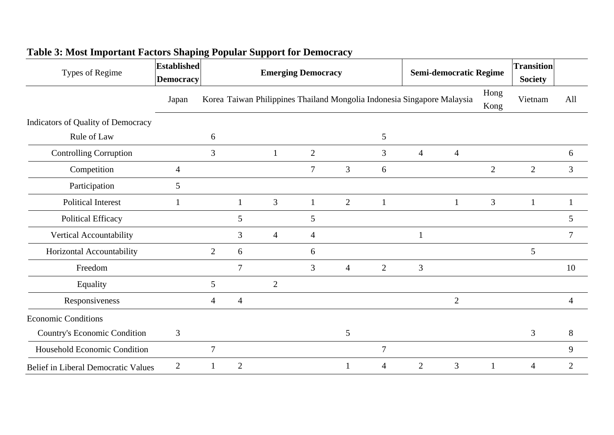| Types of Regime                            | <b>Established</b><br><b>Democracy</b> |                | <b>Emerging Democracy</b> |                                                                         |                |                |                | <b>Semi-democratic Regime</b> |                |                | <b>Transition</b><br><b>Society</b> |                |
|--------------------------------------------|----------------------------------------|----------------|---------------------------|-------------------------------------------------------------------------|----------------|----------------|----------------|-------------------------------|----------------|----------------|-------------------------------------|----------------|
|                                            | Japan                                  |                |                           | Korea Taiwan Philippines Thailand Mongolia Indonesia Singapore Malaysia |                |                |                |                               |                | Hong<br>Kong   | Vietnam                             | All            |
| Indicators of Quality of Democracy         |                                        |                |                           |                                                                         |                |                |                |                               |                |                |                                     |                |
| Rule of Law                                |                                        | 6              |                           |                                                                         |                |                | 5              |                               |                |                |                                     |                |
| <b>Controlling Corruption</b>              |                                        | $\mathfrak{Z}$ |                           | 1                                                                       | $\overline{2}$ |                | 3              | $\overline{4}$                | $\overline{4}$ |                |                                     | 6              |
| Competition                                | $\overline{4}$                         |                |                           |                                                                         | 7              | 3              | 6              |                               |                | $\overline{2}$ | $\overline{2}$                      | 3              |
| Participation                              | 5                                      |                |                           |                                                                         |                |                |                |                               |                |                |                                     |                |
| <b>Political Interest</b>                  |                                        |                | 1                         | $\overline{3}$                                                          | $\mathbf{1}$   | $\overline{2}$ | $\mathbf{1}$   |                               | 1              | 3              | $\mathbf{1}$                        |                |
| <b>Political Efficacy</b>                  |                                        |                | 5                         |                                                                         | 5              |                |                |                               |                |                |                                     | 5              |
| Vertical Accountability                    |                                        |                | 3                         | 4                                                                       | $\overline{4}$ |                |                |                               |                |                |                                     | $\overline{7}$ |
| Horizontal Accountability                  |                                        | 2              | 6                         |                                                                         | 6              |                |                |                               |                |                | 5                                   |                |
| Freedom                                    |                                        |                | 7                         |                                                                         | 3              | $\overline{4}$ | $\overline{2}$ | 3                             |                |                |                                     | 10             |
| Equality                                   |                                        | 5              |                           | $\overline{2}$                                                          |                |                |                |                               |                |                |                                     |                |
| Responsiveness                             |                                        | 4              | 4                         |                                                                         |                |                |                |                               | $\overline{2}$ |                |                                     | 4              |
| <b>Economic Conditions</b>                 |                                        |                |                           |                                                                         |                |                |                |                               |                |                |                                     |                |
| <b>Country's Economic Condition</b>        | 3                                      |                |                           |                                                                         |                | 5              |                |                               |                |                | 3                                   | 8              |
| Household Economic Condition               |                                        | $\overline{7}$ |                           |                                                                         |                |                | $\overline{7}$ |                               |                |                |                                     | 9              |
| <b>Belief in Liberal Democratic Values</b> | $\overline{2}$                         |                | $\overline{2}$            |                                                                         |                |                | $\overline{4}$ | $\overline{2}$                | 3              |                | $\overline{4}$                      | $\overline{2}$ |

# **Table 3: Most Important Factors Shaping Popular Support for Democracy**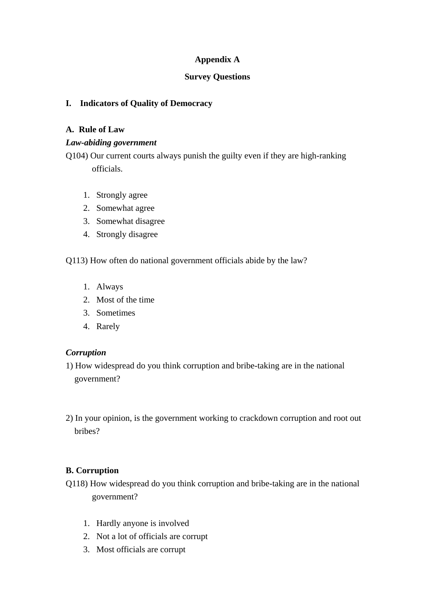# **Appendix A**

### **Survey Questions**

### **I. Indicators of Quality of Democracy**

### **A. Rule of Law**

### *Law-abiding government*

Q104) Our current courts always punish the guilty even if they are high-ranking officials.

- 1. Strongly agree
- 2. Somewhat agree
- 3. Somewhat disagree
- 4. Strongly disagree

Q113) How often do national government officials abide by the law?

- 1. Always
- 2. Most of the time
- 3. Sometimes
- 4. Rarely

### *Corruption*

- 1) How widespread do you think corruption and bribe-taking are in the national government?
- 2) In your opinion, is the government working to crackdown corruption and root out bribes?

### **B. Corruption**

- Q118) How widespread do you think corruption and bribe-taking are in the national government?
	- 1. Hardly anyone is involved
	- 2. Not a lot of officials are corrupt
	- 3. Most officials are corrupt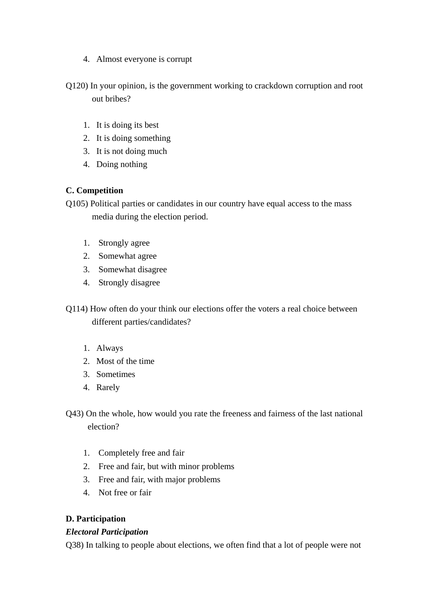4. Almost everyone is corrupt

Q120) In your opinion, is the government working to crackdown corruption and root out bribes?

- 1. It is doing its best
- 2. It is doing something
- 3. It is not doing much
- 4. Doing nothing

### **C. Competition**

- Q105) Political parties or candidates in our country have equal access to the mass media during the election period.
	- 1. Strongly agree
	- 2. Somewhat agree
	- 3. Somewhat disagree
	- 4. Strongly disagree

Q114) How often do your think our elections offer the voters a real choice between different parties/candidates?

- 1. Always
- 2. Most of the time
- 3. Sometimes
- 4. Rarely

Q43) On the whole, how would you rate the freeness and fairness of the last national election?

- 1. Completely free and fair
- 2. Free and fair, but with minor problems
- 3. Free and fair, with major problems
- 4. Not free or fair

### **D. Participation**

### *Electoral Participation*

Q38) In talking to people about elections, we often find that a lot of people were not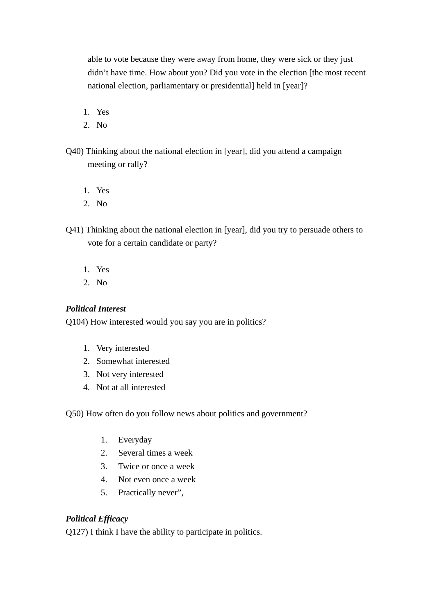able to vote because they were away from home, they were sick or they just didn't have time. How about you? Did you vote in the election [the most recent national election, parliamentary or presidential] held in [year]?

- 1. Yes
- 2. No
- Q40) Thinking about the national election in [year], did you attend a campaign meeting or rally?
	- 1. Yes
	- 2. No
- Q41) Thinking about the national election in [year], did you try to persuade others to vote for a certain candidate or party?
	- 1. Yes
	- 2. No

### *Political Interest*

Q104) How interested would you say you are in politics?

- 1. Very interested
- 2. Somewhat interested
- 3. Not very interested
- 4. Not at all interested

Q50) How often do you follow news about politics and government?

- 1. Everyday
- 2. Several times a week
- 3. Twice or once a week
- 4. Not even once a week
- 5. Practically never",

### *Political Efficacy*

Q127) I think I have the ability to participate in politics.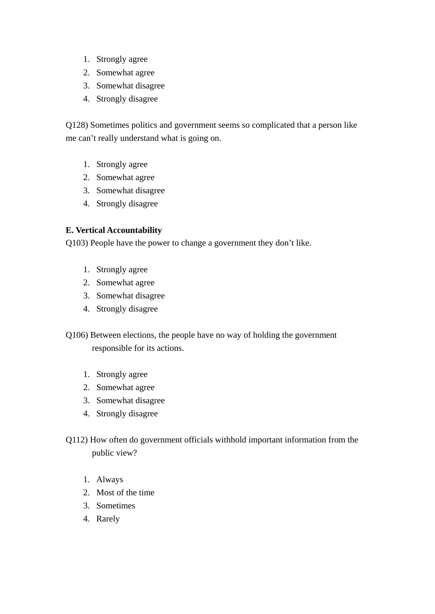- 1. Strongly agree
- 2. Somewhat agree
- 3. Somewhat disagree
- 4. Strongly disagree

Q128) Sometimes politics and government seems so complicated that a person like me can't really understand what is going on.

- 1. Strongly agree
- 2. Somewhat agree
- 3. Somewhat disagree
- 4. Strongly disagree

### **E. Vertical Accountability**

Q103) People have the power to change a government they don't like.

- 1. Strongly agree
- 2. Somewhat agree
- 3. Somewhat disagree
- 4. Strongly disagree
- Q106) Between elections, the people have no way of holding the government responsible for its actions.
	- 1. Strongly agree
	- 2. Somewhat agree
	- 3. Somewhat disagree
	- 4. Strongly disagree
- Q112) How often do government officials withhold important information from the public view?
	- 1. Always
	- 2. Most of the time
	- 3. Sometimes
	- 4. Rarely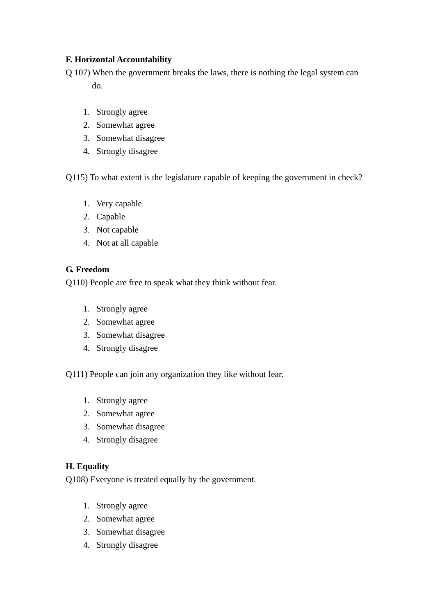# **F. Horizontal Accountability**

- Q 107) When the government breaks the laws, there is nothing the legal system can do.
	- 1. Strongly agree
	- 2. Somewhat agree
	- 3. Somewhat disagree
	- 4. Strongly disagree

Q115) To what extent is the legislature capable of keeping the government in check?

- 1. Very capable
- 2. Capable
- 3. Not capable
- 4. Not at all capable

# **G. Freedom**

Q110) People are free to speak what they think without fear.

- 1. Strongly agree
- 2. Somewhat agree
- 3. Somewhat disagree
- 4. Strongly disagree
- Q111) People can join any organization they like without fear.
	- 1. Strongly agree
	- 2. Somewhat agree
	- 3. Somewhat disagree
	- 4. Strongly disagree

### **H. Equality**

Q108) Everyone is treated equally by the government.

- 1. Strongly agree
- 2. Somewhat agree
- 3. Somewhat disagree
- 4. Strongly disagree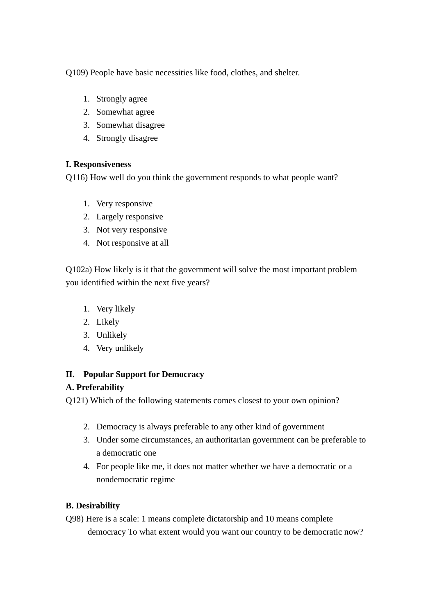Q109) People have basic necessities like food, clothes, and shelter.

- 1. Strongly agree
- 2. Somewhat agree
- 3. Somewhat disagree
- 4. Strongly disagree

# **I. Responsiveness**

Q116) How well do you think the government responds to what people want?

- 1. Very responsive
- 2. Largely responsive
- 3. Not very responsive
- 4. Not responsive at all

Q102a) How likely is it that the government will solve the most important problem you identified within the next five years?

- 1. Very likely
- 2. Likely
- 3. Unlikely
- 4. Very unlikely

# **II. Popular Support for Democracy**

# **A. Preferability**

Q121) Which of the following statements comes closest to your own opinion?

- 2. Democracy is always preferable to any other kind of government
- 3. Under some circumstances, an authoritarian government can be preferable to a democratic one
- 4. For people like me, it does not matter whether we have a democratic or a nondemocratic regime

# **B. Desirability**

Q98) Here is a scale: 1 means complete dictatorship and 10 means complete democracy To what extent would you want our country to be democratic now?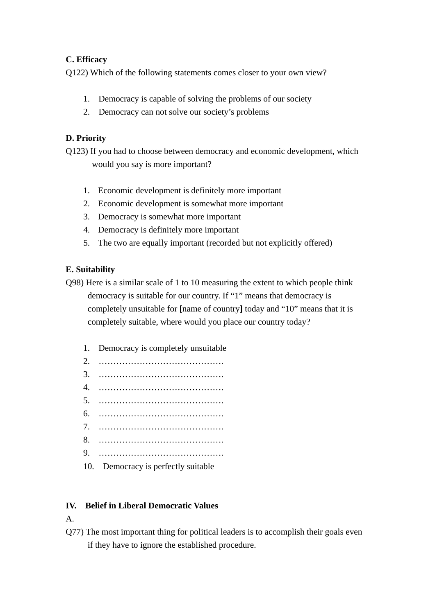# **C. Efficacy**

Q122) Which of the following statements comes closer to your own view?

- 1. Democracy is capable of solving the problems of our society
- 2. Democracy can not solve our society's problems

# **D. Priority**

Q123) If you had to choose between democracy and economic development, which would you say is more important?

- 1. Economic development is definitely more important
- 2. Economic development is somewhat more important
- 3. Democracy is somewhat more important
- 4. Democracy is definitely more important
- 5. The two are equally important (recorded but not explicitly offered)

# **E. Suitability**

- Q98) Here is a similar scale of 1 to 10 measuring the extent to which people think democracy is suitable for our country. If "1" means that democracy is completely unsuitable for **[**name of country**]** today and "10" means that it is completely suitable, where would you place our country today?
	- 1. Democracy is completely unsuitable
	- 2. …………………………………….
	- 3. …………………………………….
	- 4. …………………………………….
	- 5. …………………………………….
	- 6. …………………………………….
	- 7. …………………………………….
	- 8. …………………………………….
	- 9. …………………………………….
	-
	- 10. Democracy is perfectly suitable

### **IV. Belief in Liberal Democratic Values**

A.

Q77) The most important thing for political leaders is to accomplish their goals even if they have to ignore the established procedure.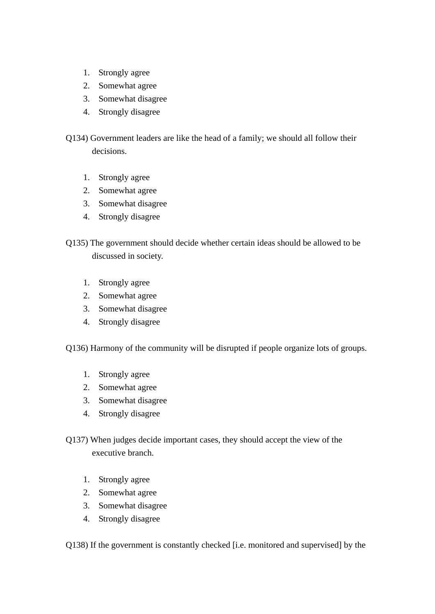- 1. Strongly agree
- 2. Somewhat agree
- 3. Somewhat disagree
- 4. Strongly disagree

Q134) Government leaders are like the head of a family; we should all follow their decisions.

- 1. Strongly agree
- 2. Somewhat agree
- 3. Somewhat disagree
- 4. Strongly disagree
- Q135) The government should decide whether certain ideas should be allowed to be discussed in society.
	- 1. Strongly agree
	- 2. Somewhat agree
	- 3. Somewhat disagree
	- 4. Strongly disagree

Q136) Harmony of the community will be disrupted if people organize lots of groups.

- 1. Strongly agree
- 2. Somewhat agree
- 3. Somewhat disagree
- 4. Strongly disagree
- Q137) When judges decide important cases, they should accept the view of the executive branch.
	- 1. Strongly agree
	- 2. Somewhat agree
	- 3. Somewhat disagree
	- 4. Strongly disagree

Q138) If the government is constantly checked [i.e. monitored and supervised] by the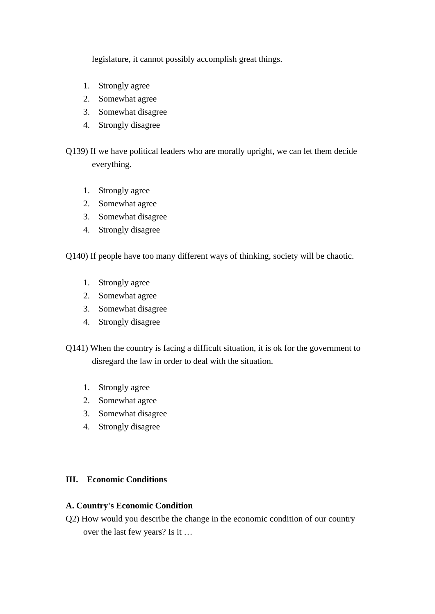legislature, it cannot possibly accomplish great things.

- 1. Strongly agree
- 2. Somewhat agree
- 3. Somewhat disagree
- 4. Strongly disagree

Q139) If we have political leaders who are morally upright, we can let them decide everything.

- 1. Strongly agree
- 2. Somewhat agree
- 3. Somewhat disagree
- 4. Strongly disagree

Q140) If people have too many different ways of thinking, society will be chaotic.

- 1. Strongly agree
- 2. Somewhat agree
- 3. Somewhat disagree
- 4. Strongly disagree
- Q141) When the country is facing a difficult situation, it is ok for the government to disregard the law in order to deal with the situation.
	- 1. Strongly agree
	- 2. Somewhat agree
	- 3. Somewhat disagree
	- 4. Strongly disagree

### **III. Economic Conditions**

### **A. Country's Economic Condition**

Q2) How would you describe the change in the economic condition of our country over the last few years? Is it …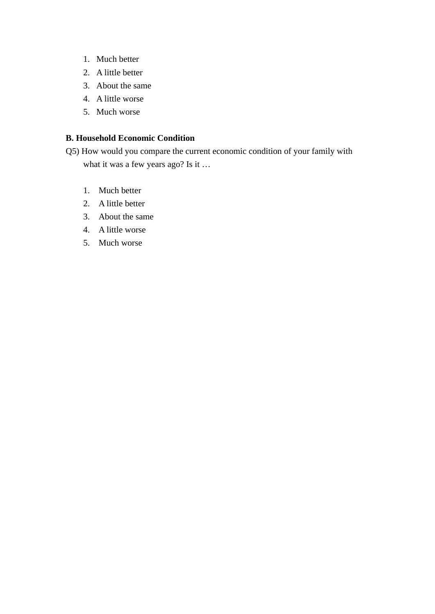- 1. Much better
- 2. A little better
- 3. About the same
- 4. A little worse
- 5. Much worse

### **B. Household Economic Condition**

- Q5) How would you compare the current economic condition of your family with what it was a few years ago? Is it …
	- 1. Much better
	- 2. A little better
	- 3. About the same
	- 4. A little worse
	- 5. Much worse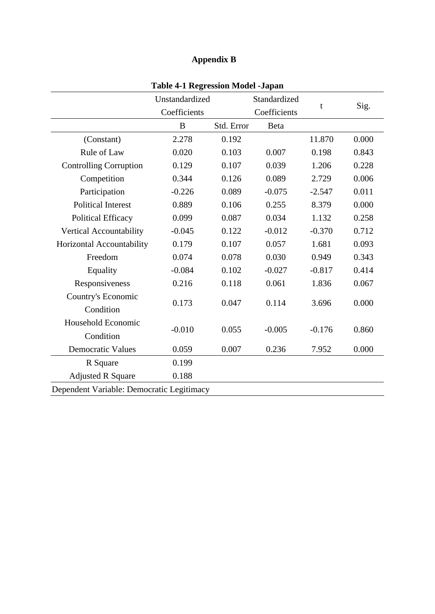# **Appendix B**

|                                           | Unstandardized |            | Standardized |             |       |
|-------------------------------------------|----------------|------------|--------------|-------------|-------|
|                                           | Coefficients   |            | Coefficients | $\mathbf t$ | Sig.  |
|                                           | $\bf{B}$       | Std. Error | Beta         |             |       |
| (Constant)                                | 2.278          | 0.192      |              | 11.870      | 0.000 |
| Rule of Law                               | 0.020          | 0.103      | 0.007        | 0.198       | 0.843 |
| <b>Controlling Corruption</b>             | 0.129          | 0.107      | 0.039        | 1.206       | 0.228 |
| Competition                               | 0.344          | 0.126      | 0.089        | 2.729       | 0.006 |
| Participation                             | $-0.226$       | 0.089      | $-0.075$     | $-2.547$    | 0.011 |
| <b>Political Interest</b>                 | 0.889          | 0.106      | 0.255        | 8.379       | 0.000 |
| <b>Political Efficacy</b>                 | 0.099          | 0.087      | 0.034        | 1.132       | 0.258 |
| Vertical Accountability                   | $-0.045$       | 0.122      | $-0.012$     | $-0.370$    | 0.712 |
| Horizontal Accountability                 | 0.179          | 0.107      | 0.057        | 1.681       | 0.093 |
| Freedom                                   | 0.074          | 0.078      | 0.030        | 0.949       | 0.343 |
| Equality                                  | $-0.084$       | 0.102      | $-0.027$     | $-0.817$    | 0.414 |
| Responsiveness                            | 0.216          | 0.118      | 0.061        | 1.836       | 0.067 |
| Country's Economic                        |                |            |              |             |       |
| Condition                                 | 0.173          | 0.047      | 0.114        | 3.696       | 0.000 |
| Household Economic                        |                |            |              |             |       |
| Condition                                 | $-0.010$       | 0.055      | $-0.005$     | $-0.176$    | 0.860 |
| <b>Democratic Values</b>                  | 0.059          | 0.007      | 0.236        | 7.952       | 0.000 |
| R Square                                  | 0.199          |            |              |             |       |
| <b>Adjusted R Square</b>                  | 0.188          |            |              |             |       |
| Dependent Variable: Democratic Legitimacy |                |            |              |             |       |

**Table 4-1 Regression Model -Japan**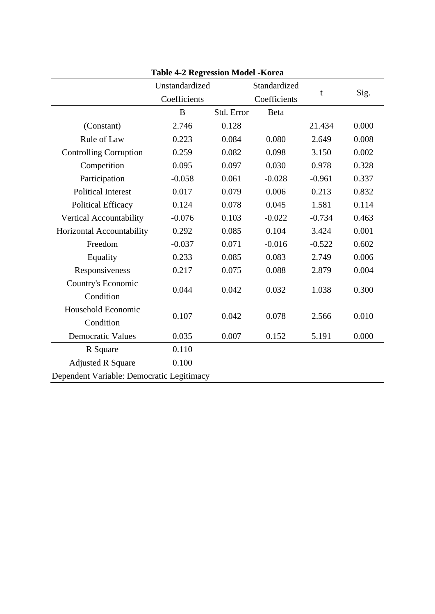|                                           | Unstandardized |            | Standardized |          |       |
|-------------------------------------------|----------------|------------|--------------|----------|-------|
|                                           | Coefficients   |            | Coefficients | t        | Sig.  |
|                                           | B              | Std. Error | Beta         |          |       |
| (Constant)                                | 2.746          | 0.128      |              | 21.434   | 0.000 |
| Rule of Law                               | 0.223          | 0.084      | 0.080        | 2.649    | 0.008 |
| <b>Controlling Corruption</b>             | 0.259          | 0.082      | 0.098        | 3.150    | 0.002 |
| Competition                               | 0.095          | 0.097      | 0.030        | 0.978    | 0.328 |
| Participation                             | $-0.058$       | 0.061      | $-0.028$     | $-0.961$ | 0.337 |
| <b>Political Interest</b>                 | 0.017          | 0.079      | 0.006        | 0.213    | 0.832 |
| <b>Political Efficacy</b>                 | 0.124          | 0.078      | 0.045        | 1.581    | 0.114 |
| Vertical Accountability                   | $-0.076$       | 0.103      | $-0.022$     | $-0.734$ | 0.463 |
| Horizontal Accountability                 | 0.292          | 0.085      | 0.104        | 3.424    | 0.001 |
| Freedom                                   | $-0.037$       | 0.071      | $-0.016$     | $-0.522$ | 0.602 |
| Equality                                  | 0.233          | 0.085      | 0.083        | 2.749    | 0.006 |
| Responsiveness                            | 0.217          | 0.075      | 0.088        | 2.879    | 0.004 |
| Country's Economic                        |                |            |              |          |       |
| Condition                                 | 0.044          | 0.042      | 0.032        | 1.038    | 0.300 |
| Household Economic                        |                |            |              |          |       |
| Condition                                 | 0.107          | 0.042      | 0.078        | 2.566    | 0.010 |
| <b>Democratic Values</b>                  | 0.035          | 0.007      | 0.152        | 5.191    | 0.000 |
| R Square                                  | 0.110          |            |              |          |       |
| <b>Adjusted R Square</b>                  | 0.100          |            |              |          |       |
| Dependent Variable: Democratic Legitimacy |                |            |              |          |       |

**Table 4-2 Regression Model -Korea**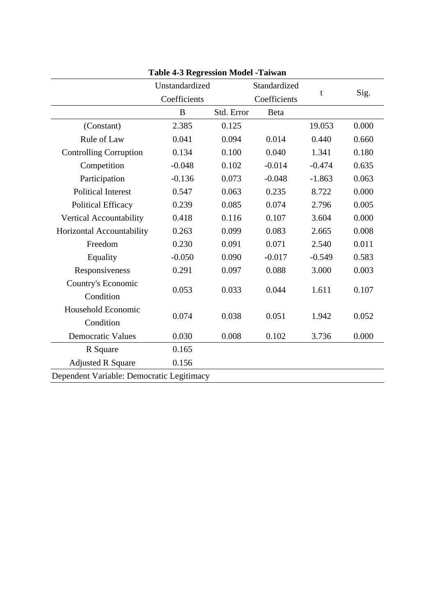|                                           | Unstandardized |            | Standardized | t        | Sig.  |
|-------------------------------------------|----------------|------------|--------------|----------|-------|
|                                           | Coefficients   |            | Coefficients |          |       |
|                                           | $\bf{B}$       | Std. Error | Beta         |          |       |
| (Constant)                                | 2.385          | 0.125      |              | 19.053   | 0.000 |
| Rule of Law                               | 0.041          | 0.094      | 0.014        | 0.440    | 0.660 |
| <b>Controlling Corruption</b>             | 0.134          | 0.100      | 0.040        | 1.341    | 0.180 |
| Competition                               | $-0.048$       | 0.102      | $-0.014$     | $-0.474$ | 0.635 |
| Participation                             | $-0.136$       | 0.073      | $-0.048$     | $-1.863$ | 0.063 |
| <b>Political Interest</b>                 | 0.547          | 0.063      | 0.235        | 8.722    | 0.000 |
| <b>Political Efficacy</b>                 | 0.239          | 0.085      | 0.074        | 2.796    | 0.005 |
| Vertical Accountability                   | 0.418          | 0.116      | 0.107        | 3.604    | 0.000 |
| Horizontal Accountability                 | 0.263          | 0.099      | 0.083        | 2.665    | 0.008 |
| Freedom                                   | 0.230          | 0.091      | 0.071        | 2.540    | 0.011 |
| Equality                                  | $-0.050$       | 0.090      | $-0.017$     | $-0.549$ | 0.583 |
| Responsiveness                            | 0.291          | 0.097      | 0.088        | 3.000    | 0.003 |
| Country's Economic                        | 0.053          |            | 0.044        |          |       |
| Condition                                 |                | 0.033      |              | 1.611    | 0.107 |
| Household Economic                        |                |            |              |          |       |
| Condition                                 | 0.074          | 0.038      | 0.051        | 1.942    | 0.052 |
| <b>Democratic Values</b>                  | 0.030          | 0.008      | 0.102        | 3.736    | 0.000 |
| R Square                                  | 0.165          |            |              |          |       |
| <b>Adjusted R Square</b>                  | 0.156          |            |              |          |       |
| Dependent Variable: Democratic Legitimacy |                |            |              |          |       |

**Table 4-3 Regression Model -Taiwan**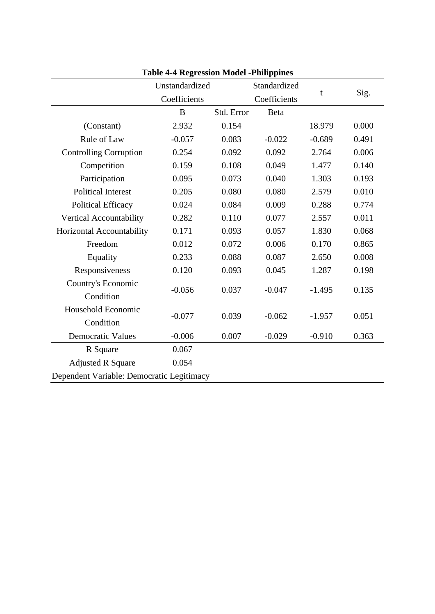|                                           | Unstandardized |            | Standardized | t        | Sig.  |
|-------------------------------------------|----------------|------------|--------------|----------|-------|
|                                           | Coefficients   |            | Coefficients |          |       |
|                                           | B              | Std. Error | Beta         |          |       |
| (Constant)                                | 2.932          | 0.154      |              | 18.979   | 0.000 |
| Rule of Law                               | $-0.057$       | 0.083      | $-0.022$     | $-0.689$ | 0.491 |
| <b>Controlling Corruption</b>             | 0.254          | 0.092      | 0.092        | 2.764    | 0.006 |
| Competition                               | 0.159          | 0.108      | 0.049        | 1.477    | 0.140 |
| Participation                             | 0.095          | 0.073      | 0.040        | 1.303    | 0.193 |
| <b>Political Interest</b>                 | 0.205          | 0.080      | 0.080        | 2.579    | 0.010 |
| <b>Political Efficacy</b>                 | 0.024          | 0.084      | 0.009        | 0.288    | 0.774 |
| Vertical Accountability                   | 0.282          | 0.110      | 0.077        | 2.557    | 0.011 |
| Horizontal Accountability                 | 0.171          | 0.093      | 0.057        | 1.830    | 0.068 |
| Freedom                                   | 0.012          | 0.072      | 0.006        | 0.170    | 0.865 |
| Equality                                  | 0.233          | 0.088      | 0.087        | 2.650    | 0.008 |
| Responsiveness                            | 0.120          | 0.093      | 0.045        | 1.287    | 0.198 |
| Country's Economic                        | $-0.056$       | 0.037      |              |          |       |
| Condition                                 |                |            | $-0.047$     | $-1.495$ | 0.135 |
| Household Economic                        |                |            |              |          |       |
| Condition                                 | $-0.077$       | 0.039      | $-0.062$     | $-1.957$ | 0.051 |
| <b>Democratic Values</b>                  | $-0.006$       | 0.007      | $-0.029$     | $-0.910$ | 0.363 |
| R Square                                  | 0.067          |            |              |          |       |
| <b>Adjusted R Square</b>                  | 0.054          |            |              |          |       |
| Dependent Variable: Democratic Legitimacy |                |            |              |          |       |

**Table 4-4 Regression Model -Philippines**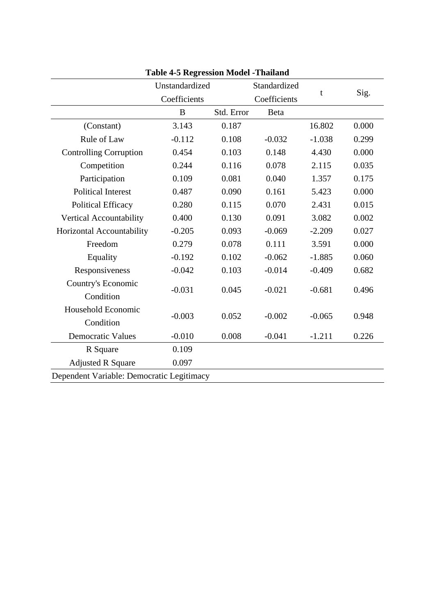|                                           | Unstandardized |            | Standardized |          |       |
|-------------------------------------------|----------------|------------|--------------|----------|-------|
|                                           | Coefficients   |            | Coefficients | t        | Sig.  |
|                                           | $\bf{B}$       | Std. Error | Beta         |          |       |
| (Constant)                                | 3.143          | 0.187      |              | 16.802   | 0.000 |
| Rule of Law                               | $-0.112$       | 0.108      | $-0.032$     | $-1.038$ | 0.299 |
| <b>Controlling Corruption</b>             | 0.454          | 0.103      | 0.148        | 4.430    | 0.000 |
| Competition                               | 0.244          | 0.116      | 0.078        | 2.115    | 0.035 |
| Participation                             | 0.109          | 0.081      | 0.040        | 1.357    | 0.175 |
| <b>Political Interest</b>                 | 0.487          | 0.090      | 0.161        | 5.423    | 0.000 |
| <b>Political Efficacy</b>                 | 0.280          | 0.115      | 0.070        | 2.431    | 0.015 |
| Vertical Accountability                   | 0.400          | 0.130      | 0.091        | 3.082    | 0.002 |
| Horizontal Accountability                 | $-0.205$       | 0.093      | $-0.069$     | $-2.209$ | 0.027 |
| Freedom                                   | 0.279          | 0.078      | 0.111        | 3.591    | 0.000 |
| Equality                                  | $-0.192$       | 0.102      | $-0.062$     | $-1.885$ | 0.060 |
| Responsiveness                            | $-0.042$       | 0.103      | $-0.014$     | $-0.409$ | 0.682 |
| Country's Economic                        |                |            |              |          |       |
| Condition                                 | $-0.031$       | 0.045      | $-0.021$     | $-0.681$ | 0.496 |
| Household Economic                        |                |            |              |          |       |
| Condition                                 | $-0.003$       | 0.052      | $-0.002$     | $-0.065$ | 0.948 |
| <b>Democratic Values</b>                  | $-0.010$       | 0.008      | $-0.041$     | $-1.211$ | 0.226 |
| R Square                                  | 0.109          |            |              |          |       |
| <b>Adjusted R Square</b>                  | 0.097          |            |              |          |       |
| Dependent Variable: Democratic Legitimacy |                |            |              |          |       |

**Table 4-5 Regression Model -Thailand**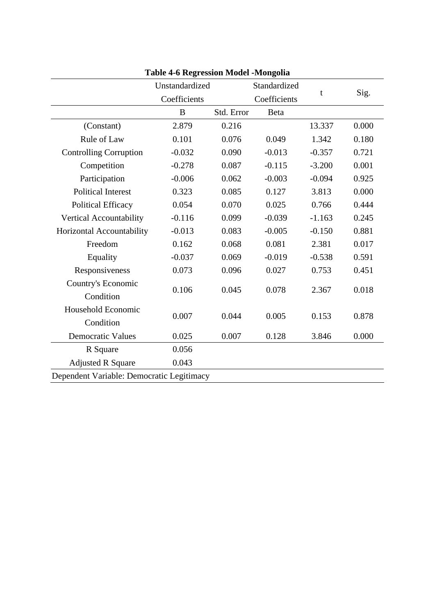|                                           | Unstandardized |            | Standardized | t        | Sig.  |
|-------------------------------------------|----------------|------------|--------------|----------|-------|
|                                           | Coefficients   |            | Coefficients |          |       |
|                                           | $\bf{B}$       | Std. Error | Beta         |          |       |
| (Constant)                                | 2.879          | 0.216      |              | 13.337   | 0.000 |
| Rule of Law                               | 0.101          | 0.076      | 0.049        | 1.342    | 0.180 |
| <b>Controlling Corruption</b>             | $-0.032$       | 0.090      | $-0.013$     | $-0.357$ | 0.721 |
| Competition                               | $-0.278$       | 0.087      | $-0.115$     | $-3.200$ | 0.001 |
| Participation                             | $-0.006$       | 0.062      | $-0.003$     | $-0.094$ | 0.925 |
| <b>Political Interest</b>                 | 0.323          | 0.085      | 0.127        | 3.813    | 0.000 |
| <b>Political Efficacy</b>                 | 0.054          | 0.070      | 0.025        | 0.766    | 0.444 |
| Vertical Accountability                   | $-0.116$       | 0.099      | $-0.039$     | $-1.163$ | 0.245 |
| Horizontal Accountability                 | $-0.013$       | 0.083      | $-0.005$     | $-0.150$ | 0.881 |
| Freedom                                   | 0.162          | 0.068      | 0.081        | 2.381    | 0.017 |
| Equality                                  | $-0.037$       | 0.069      | $-0.019$     | $-0.538$ | 0.591 |
| Responsiveness                            | 0.073          | 0.096      | 0.027        | 0.753    | 0.451 |
| Country's Economic                        |                |            |              |          |       |
| Condition                                 | 0.106          | 0.045      | 0.078        | 2.367    | 0.018 |
| Household Economic                        |                |            |              |          |       |
| Condition                                 | 0.007          | 0.044      | 0.005        | 0.153    | 0.878 |
| <b>Democratic Values</b>                  | 0.025          | 0.007      | 0.128        | 3.846    | 0.000 |
| R Square                                  | 0.056          |            |              |          |       |
| <b>Adjusted R Square</b>                  | 0.043          |            |              |          |       |
| Dependent Variable: Democratic Legitimacy |                |            |              |          |       |

**Table 4-6 Regression Model -Mongolia**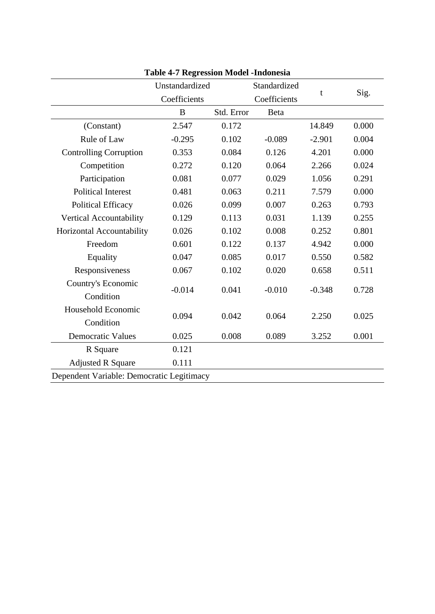|                                           | Unstandardized |            | Standardized |          |       |
|-------------------------------------------|----------------|------------|--------------|----------|-------|
|                                           | Coefficients   |            | Coefficients | t        | Sig.  |
|                                           | $\bf{B}$       | Std. Error | Beta         |          |       |
| (Constant)                                | 2.547          | 0.172      |              | 14.849   | 0.000 |
| Rule of Law                               | $-0.295$       | 0.102      | $-0.089$     | $-2.901$ | 0.004 |
| <b>Controlling Corruption</b>             | 0.353          | 0.084      | 0.126        | 4.201    | 0.000 |
| Competition                               | 0.272          | 0.120      | 0.064        | 2.266    | 0.024 |
| Participation                             | 0.081          | 0.077      | 0.029        | 1.056    | 0.291 |
| <b>Political Interest</b>                 | 0.481          | 0.063      | 0.211        | 7.579    | 0.000 |
| <b>Political Efficacy</b>                 | 0.026          | 0.099      | 0.007        | 0.263    | 0.793 |
| Vertical Accountability                   | 0.129          | 0.113      | 0.031        | 1.139    | 0.255 |
| Horizontal Accountability                 | 0.026          | 0.102      | 0.008        | 0.252    | 0.801 |
| Freedom                                   | 0.601          | 0.122      | 0.137        | 4.942    | 0.000 |
| Equality                                  | 0.047          | 0.085      | 0.017        | 0.550    | 0.582 |
| Responsiveness                            | 0.067          | 0.102      | 0.020        | 0.658    | 0.511 |
| Country's Economic                        |                |            |              |          |       |
| Condition                                 | $-0.014$       | 0.041      | $-0.010$     | $-0.348$ | 0.728 |
| Household Economic                        |                |            |              |          |       |
| Condition                                 | 0.094          | 0.042      | 0.064        | 2.250    | 0.025 |
| <b>Democratic Values</b>                  | 0.025          | 0.008      | 0.089        | 3.252    | 0.001 |
| R Square                                  | 0.121          |            |              |          |       |
| <b>Adjusted R Square</b>                  | 0.111          |            |              |          |       |
| Dependent Variable: Democratic Legitimacy |                |            |              |          |       |

**Table 4-7 Regression Model -Indonesia**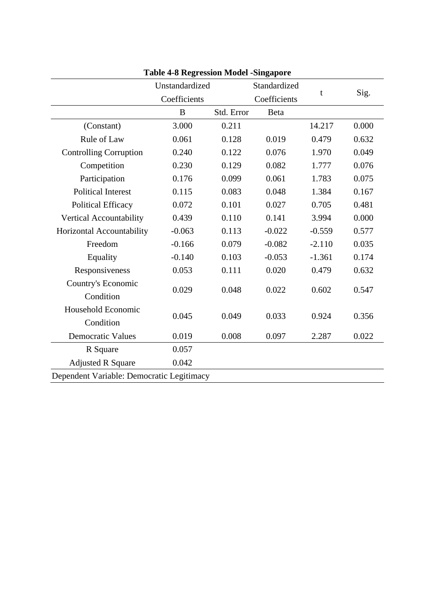|                                           | Unstandardized |            | Standardized   | t        | Sig.  |  |
|-------------------------------------------|----------------|------------|----------------|----------|-------|--|
|                                           | Coefficients   |            | Coefficients   |          |       |  |
|                                           | $\bf{B}$       | Std. Error | Beta           |          |       |  |
| (Constant)                                | 3.000          | 0.211      |                | 14.217   | 0.000 |  |
| Rule of Law                               | 0.061          | 0.128      | 0.019          | 0.479    | 0.632 |  |
| <b>Controlling Corruption</b>             | 0.240          | 0.122      | 0.076          | 1.970    | 0.049 |  |
| Competition                               | 0.230          | 0.129      | 0.082          | 1.777    | 0.076 |  |
| Participation                             | 0.176          | 0.099      | 0.061          | 1.783    | 0.075 |  |
| <b>Political Interest</b>                 | 0.115          | 0.083      | 0.048          | 1.384    | 0.167 |  |
| <b>Political Efficacy</b>                 | 0.072          | 0.101      | 0.027          | 0.705    | 0.481 |  |
| Vertical Accountability                   | 0.439          | 0.110      | 0.141          | 3.994    | 0.000 |  |
| Horizontal Accountability                 | $-0.063$       | 0.113      | $-0.022$       | $-0.559$ | 0.577 |  |
| Freedom                                   | $-0.166$       | 0.079      | $-0.082$       | $-2.110$ | 0.035 |  |
| Equality                                  | $-0.140$       | 0.103      | $-0.053$       | $-1.361$ | 0.174 |  |
| Responsiveness                            | 0.053          | 0.111      | 0.020          | 0.479    | 0.632 |  |
| Country's Economic                        |                |            | 0.022<br>0.602 |          | 0.547 |  |
| Condition                                 | 0.029          | 0.048      |                |          |       |  |
| Household Economic                        |                |            |                | 0.924    | 0.356 |  |
| Condition                                 | 0.045          | 0.049      | 0.033          |          |       |  |
| <b>Democratic Values</b>                  | 0.019          | 0.008      | 0.097          | 2.287    | 0.022 |  |
| R Square                                  | 0.057          |            |                |          |       |  |
| <b>Adjusted R Square</b>                  | 0.042          |            |                |          |       |  |
| Dependent Variable: Democratic Legitimacy |                |            |                |          |       |  |

**Table 4-8 Regression Model -Singapore**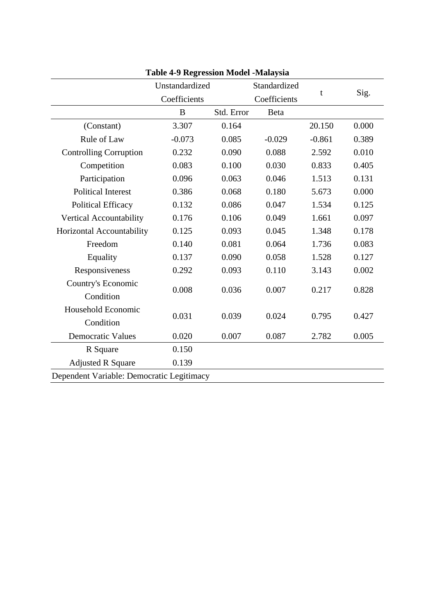|                                           | Unstandardized |            | Standardized   | t        | Sig.  |  |
|-------------------------------------------|----------------|------------|----------------|----------|-------|--|
|                                           | Coefficients   |            | Coefficients   |          |       |  |
|                                           | $\bf{B}$       | Std. Error | Beta           |          |       |  |
| (Constant)                                | 3.307          | 0.164      |                | 20.150   | 0.000 |  |
| Rule of Law                               | $-0.073$       | 0.085      | $-0.029$       | $-0.861$ | 0.389 |  |
| <b>Controlling Corruption</b>             | 0.232          | 0.090      | 0.088          | 2.592    | 0.010 |  |
| Competition                               | 0.083          | 0.100      | 0.030          | 0.833    | 0.405 |  |
| Participation                             | 0.096          | 0.063      | 0.046          | 1.513    | 0.131 |  |
| <b>Political Interest</b>                 | 0.386          | 0.068      | 0.180          | 5.673    | 0.000 |  |
| <b>Political Efficacy</b>                 | 0.132          | 0.086      | 0.047          | 1.534    | 0.125 |  |
| Vertical Accountability                   | 0.176          | 0.106      | 0.049          | 1.661    | 0.097 |  |
| Horizontal Accountability                 | 0.125          | 0.093      | 0.045          | 1.348    | 0.178 |  |
| Freedom                                   | 0.140          | 0.081      | 0.064          | 1.736    | 0.083 |  |
| Equality                                  | 0.137          | 0.090      | 0.058          | 1.528    | 0.127 |  |
| Responsiveness                            | 0.292          | 0.093      | 0.110          | 3.143    | 0.002 |  |
| Country's Economic                        | 0.008          |            | 0.007<br>0.217 |          | 0.828 |  |
| Condition                                 |                | 0.036      |                |          |       |  |
| Household Economic                        |                | 0.039      | 0.024          | 0.795    | 0.427 |  |
| Condition                                 | 0.031          |            |                |          |       |  |
| <b>Democratic Values</b>                  | 0.020          | 0.007      | 0.087          | 2.782    | 0.005 |  |
| R Square                                  | 0.150          |            |                |          |       |  |
| <b>Adjusted R Square</b>                  | 0.139          |            |                |          |       |  |
| Dependent Variable: Democratic Legitimacy |                |            |                |          |       |  |

**Table 4-9 Regression Model -Malaysia**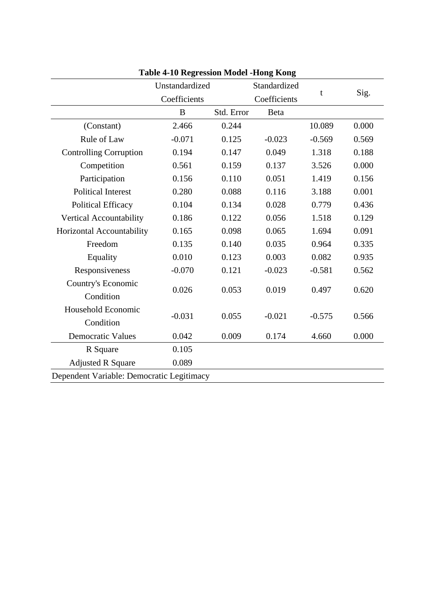|                                           | Unstandardized |            | Standardized   | t        | Sig.  |
|-------------------------------------------|----------------|------------|----------------|----------|-------|
|                                           | Coefficients   |            | Coefficients   |          |       |
|                                           | B              | Std. Error | Beta           |          |       |
| (Constant)                                | 2.466          | 0.244      |                | 10.089   | 0.000 |
| Rule of Law                               | $-0.071$       | 0.125      | $-0.023$       | $-0.569$ | 0.569 |
| <b>Controlling Corruption</b>             | 0.194          | 0.147      | 0.049          | 1.318    | 0.188 |
| Competition                               | 0.561          | 0.159      | 0.137          | 3.526    | 0.000 |
| Participation                             | 0.156          | 0.110      | 0.051          | 1.419    | 0.156 |
| <b>Political Interest</b>                 | 0.280          | 0.088      | 0.116          | 3.188    | 0.001 |
| <b>Political Efficacy</b>                 | 0.104          | 0.134      | 0.028          | 0.779    | 0.436 |
| Vertical Accountability                   | 0.186          | 0.122      | 0.056          | 1.518    | 0.129 |
| Horizontal Accountability                 | 0.165          | 0.098      | 0.065          | 1.694    | 0.091 |
| Freedom                                   | 0.135          | 0.140      | 0.035          | 0.964    | 0.335 |
| Equality                                  | 0.010          | 0.123      | 0.003          | 0.082    | 0.935 |
| Responsiveness                            | $-0.070$       | 0.121      | $-0.023$       | $-0.581$ | 0.562 |
| Country's Economic                        |                |            | 0.019<br>0.497 |          | 0.620 |
| Condition                                 | 0.026          | 0.053      |                |          |       |
| Household Economic                        |                | 0.055      | $-0.021$       | $-0.575$ | 0.566 |
| Condition                                 | $-0.031$       |            |                |          |       |
| <b>Democratic Values</b>                  | 0.042          | 0.009      | 0.174          | 4.660    | 0.000 |
| R Square                                  | 0.105          |            |                |          |       |
| <b>Adjusted R Square</b>                  | 0.089          |            |                |          |       |
| Dependent Variable: Democratic Legitimacy |                |            |                |          |       |

**Table 4-10 Regression Model -Hong Kong**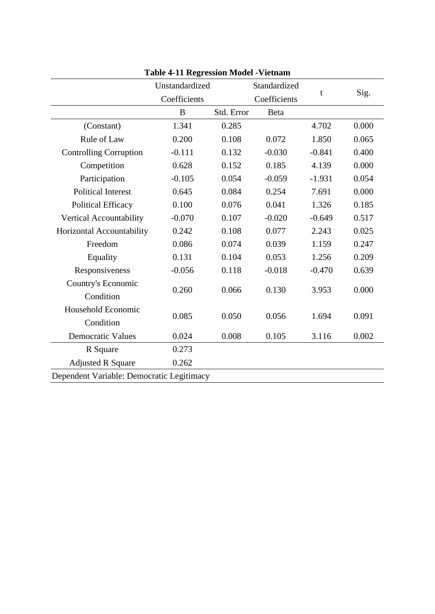|                                           | Unstandardized |            | Standardized |          |       |  |
|-------------------------------------------|----------------|------------|--------------|----------|-------|--|
|                                           | Coefficients   |            | Coefficients | t        | Sig.  |  |
|                                           | $\bf{B}$       | Std. Error | Beta         |          |       |  |
| (Constant)                                | 1.341          | 0.285      |              | 4.702    | 0.000 |  |
| Rule of Law                               | 0.200          | 0.108      | 0.072        | 1.850    | 0.065 |  |
| <b>Controlling Corruption</b>             | $-0.111$       | 0.132      | $-0.030$     | $-0.841$ | 0.400 |  |
| Competition                               | 0.628          | 0.152      | 0.185        | 4.139    | 0.000 |  |
| Participation                             | $-0.105$       | 0.054      | $-0.059$     | $-1.931$ | 0.054 |  |
| <b>Political Interest</b>                 | 0.645          | 0.084      | 0.254        | 7.691    | 0.000 |  |
| <b>Political Efficacy</b>                 | 0.100          | 0.076      | 0.041        | 1.326    | 0.185 |  |
| Vertical Accountability                   | $-0.070$       | 0.107      | $-0.020$     | $-0.649$ | 0.517 |  |
| Horizontal Accountability                 | 0.242          | 0.108      | 0.077        | 2.243    | 0.025 |  |
| Freedom                                   | 0.086          | 0.074      | 0.039        | 1.159    | 0.247 |  |
| Equality                                  | 0.131          | 0.104      | 0.053        | 1.256    | 0.209 |  |
| Responsiveness                            | $-0.056$       | 0.118      | $-0.018$     | $-0.470$ | 0.639 |  |
| Country's Economic                        | 0.260          | 0.066      | 0.130        | 3.953    | 0.000 |  |
| Condition                                 |                |            |              |          |       |  |
| Household Economic                        |                | 0.050      |              | 1.694    | 0.091 |  |
| Condition                                 | 0.085          |            | 0.056        |          |       |  |
| <b>Democratic Values</b>                  | 0.024          | 0.008      | 0.105        | 3.116    | 0.002 |  |
| R Square                                  | 0.273          |            |              |          |       |  |
| <b>Adjusted R Square</b>                  | 0.262          |            |              |          |       |  |
| Dependent Variable: Democratic Legitimacy |                |            |              |          |       |  |

**Table 4-11 Regression Model -Vietnam**